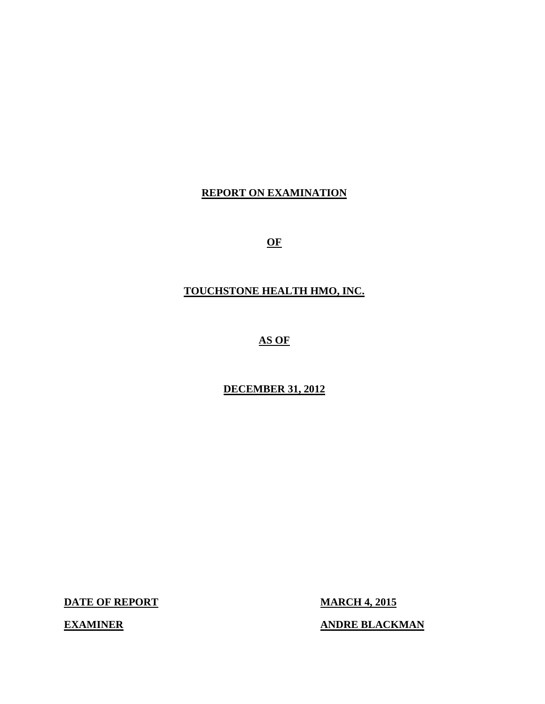# **REPORT ON EXAMINATION**

**OF** 

# **TOUCHSTONE HEALTH HMO, INC.**

**AS OF** 

# **DECEMBER 31, 2012**

**DATE OF REPORT MARCH 4, 2015** 

**ANDRE BLACKMAN** 

**EXAMINER**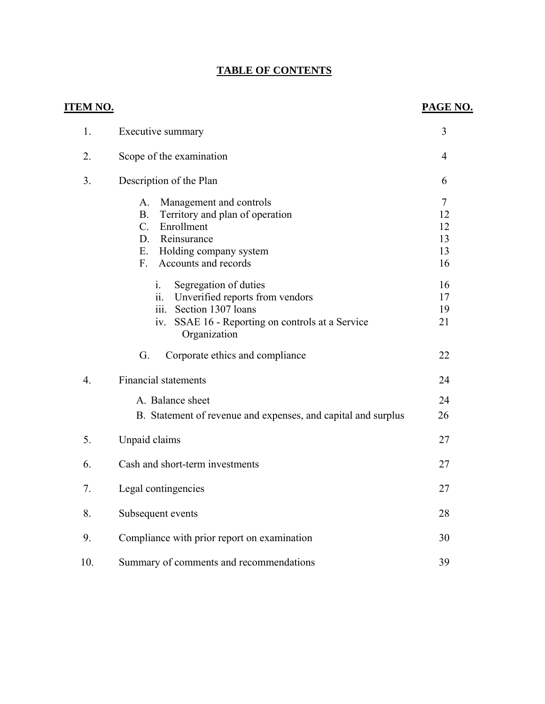# **TABLE OF CONTENTS**

| <u>ITEM NO.</u>  |                                                                                                                                                                                                                                                                                                                                                                                        | PAGE NO.                                                             |
|------------------|----------------------------------------------------------------------------------------------------------------------------------------------------------------------------------------------------------------------------------------------------------------------------------------------------------------------------------------------------------------------------------------|----------------------------------------------------------------------|
| 1.               | Executive summary                                                                                                                                                                                                                                                                                                                                                                      | 3                                                                    |
| 2.               | Scope of the examination                                                                                                                                                                                                                                                                                                                                                               | $\overline{4}$                                                       |
| 3.               | Description of the Plan                                                                                                                                                                                                                                                                                                                                                                | 6                                                                    |
|                  | Management and controls<br>A.<br>Territory and plan of operation<br>B <sub>1</sub><br>$C_{\cdot}$<br>Enrollment<br>D. Reinsurance<br>E.<br>Holding company system<br>$F_{\cdot}$<br>Accounts and records<br>Segregation of duties<br>1.<br>Unverified reports from vendors<br>ii.<br>Section 1307 loans<br>iii.<br>SSAE 16 - Reporting on controls at a Service<br>iv.<br>Organization | $\overline{7}$<br>12<br>12<br>13<br>13<br>16<br>16<br>17<br>19<br>21 |
|                  | G.<br>Corporate ethics and compliance                                                                                                                                                                                                                                                                                                                                                  | 22                                                                   |
| $\overline{4}$ . | <b>Financial statements</b>                                                                                                                                                                                                                                                                                                                                                            | 24                                                                   |
|                  | A. Balance sheet                                                                                                                                                                                                                                                                                                                                                                       | 24                                                                   |
|                  | B. Statement of revenue and expenses, and capital and surplus                                                                                                                                                                                                                                                                                                                          | 26                                                                   |
| 5.               | Unpaid claims                                                                                                                                                                                                                                                                                                                                                                          | 27                                                                   |
| 6.               | Cash and short-term investments                                                                                                                                                                                                                                                                                                                                                        | 27                                                                   |
| 7.               | Legal contingencies                                                                                                                                                                                                                                                                                                                                                                    | 27                                                                   |
| 8.               | Subsequent events                                                                                                                                                                                                                                                                                                                                                                      | 28                                                                   |
| 9.               | Compliance with prior report on examination                                                                                                                                                                                                                                                                                                                                            | 30                                                                   |
| 10.              | Summary of comments and recommendations                                                                                                                                                                                                                                                                                                                                                | 39                                                                   |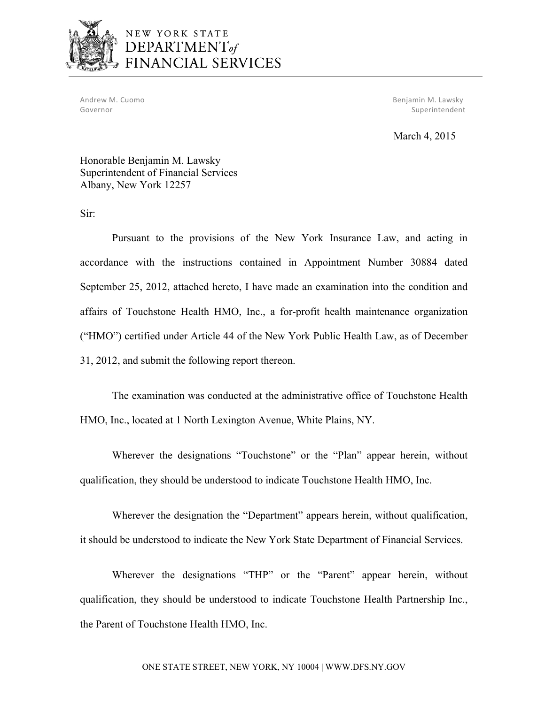

# NEW YORK STATE DEPARTMENT<sub>of</sub><br>FINANCIAL SERVICES

Andrew M. Cuomo Governor

M. Cuomo **Benjamin M. Lawsky** Superintendent

March 4, 2015

Honorable Benjamin M. Lawsky Superintendent of Financial Services Albany, New York 12257

Sir:

Pursuant to the provisions of the New York Insurance Law, and acting in accordance with the instructions contained in Appointment Number 30884 dated September 25, 2012, attached hereto, I have made an examination into the condition and affairs of Touchstone Health HMO, Inc., a for-profit health maintenance organization ("HMO") certified under Article 44 of the New York Public Health Law, as of December 31, 2012, and submit the following report thereon.

The examination was conducted at the administrative office of Touchstone Health HMO, Inc., located at 1 North Lexington Avenue, White Plains, NY.

Wherever the designations "Touchstone" or the "Plan" appear herein, without qualification, they should be understood to indicate Touchstone Health HMO, Inc.

Wherever the designation the "Department" appears herein, without qualification, it should be understood to indicate the New York State Department of Financial Services.

Wherever the designations "THP" or the "Parent" appear herein, without qualification, they should be understood to indicate Touchstone Health Partnership Inc., the Parent of Touchstone Health HMO, Inc.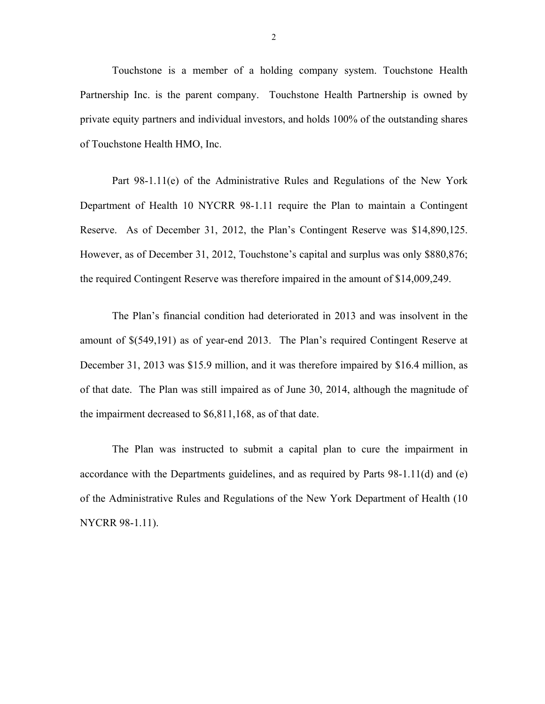Touchstone is a member of a holding company system. Touchstone Health Partnership Inc. is the parent company. Touchstone Health Partnership is owned by private equity partners and individual investors, and holds 100% of the outstanding shares of Touchstone Health HMO, Inc.

Part 98-1.11(e) of the Administrative Rules and Regulations of the New York Department of Health 10 NYCRR 98-1.11 require the Plan to maintain a Contingent Reserve. As of December 31, 2012, the Plan's Contingent Reserve was \$14,890,125. However, as of December 31, 2012, Touchstone's capital and surplus was only \$880,876; the required Contingent Reserve was therefore impaired in the amount of \$14,009,249.

The Plan's financial condition had deteriorated in 2013 and was insolvent in the amount of \$(549,191) as of year-end 2013. The Plan's required Contingent Reserve at December 31, 2013 was \$15.9 million, and it was therefore impaired by \$16.4 million, as of that date. The Plan was still impaired as of June 30, 2014, although the magnitude of the impairment decreased to \$6,811,168, as of that date.

The Plan was instructed to submit a capital plan to cure the impairment in accordance with the Departments guidelines, and as required by Parts 98-1.11(d) and (e) of the Administrative Rules and Regulations of the New York Department of Health (10 NYCRR 98-1.11).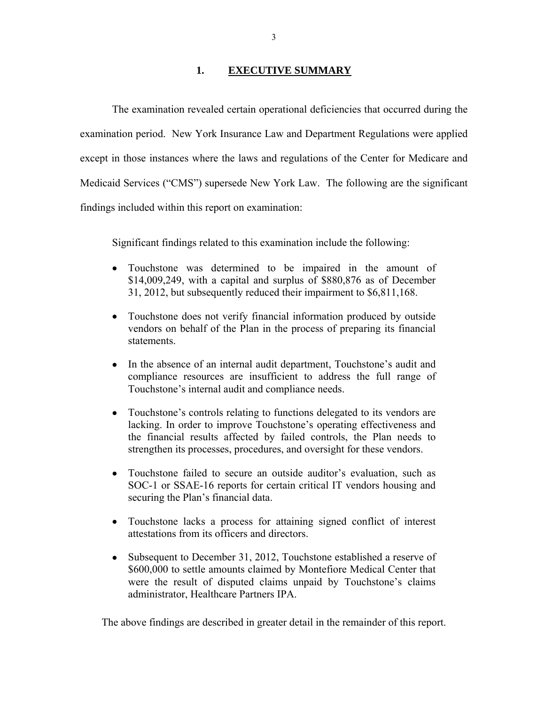#### **1. EXECUTIVE SUMMARY**

The examination revealed certain operational deficiencies that occurred during the examination period. New York Insurance Law and Department Regulations were applied except in those instances where the laws and regulations of the Center for Medicare and Medicaid Services ("CMS") supersede New York Law. The following are the significant findings included within this report on examination:

Significant findings related to this examination include the following:

- Touchstone was determined to be impaired in the amount of \$14,009,249, with a capital and surplus of \$880,876 as of December 31, 2012, but subsequently reduced their impairment to \$6,811,168.
- Touchstone does not verify financial information produced by outside vendors on behalf of the Plan in the process of preparing its financial statements.
- In the absence of an internal audit department, Touchstone's audit and compliance resources are insufficient to address the full range of Touchstone's internal audit and compliance needs.
- Touchstone's controls relating to functions delegated to its vendors are lacking. In order to improve Touchstone's operating effectiveness and the financial results affected by failed controls, the Plan needs to strengthen its processes, procedures, and oversight for these vendors.
- Touchstone failed to secure an outside auditor's evaluation, such as SOC-1 or SSAE-16 reports for certain critical IT vendors housing and securing the Plan's financial data.
- Touchstone lacks a process for attaining signed conflict of interest attestations from its officers and directors.
- Subsequent to December 31, 2012, Touchstone established a reserve of \$600,000 to settle amounts claimed by Montefiore Medical Center that were the result of disputed claims unpaid by Touchstone's claims administrator, Healthcare Partners IPA.

The above findings are described in greater detail in the remainder of this report.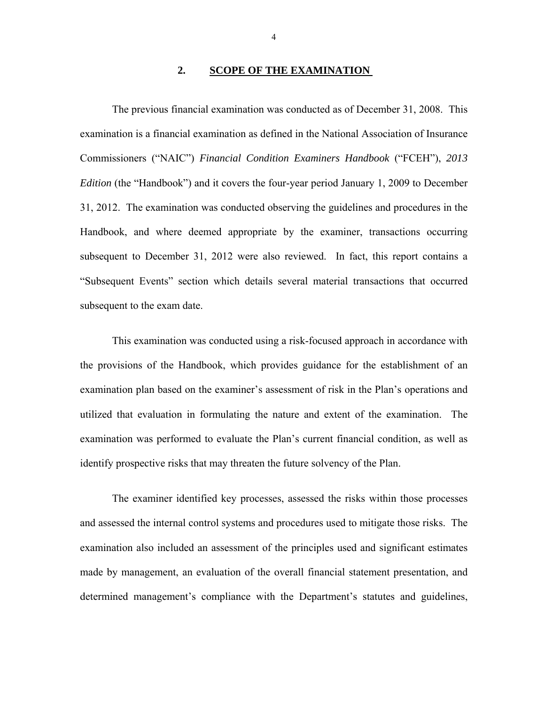#### **2. SCOPE OF THE EXAMINATION**

The previous financial examination was conducted as of December 31, 2008. This examination is a financial examination as defined in the National Association of Insurance Commissioners ("NAIC") *Financial Condition Examiners Handbook* ("FCEH"), *2013 Edition* (the "Handbook") and it covers the four-year period January 1, 2009 to December 31, 2012. The examination was conducted observing the guidelines and procedures in the Handbook, and where deemed appropriate by the examiner, transactions occurring subsequent to December 31, 2012 were also reviewed. In fact, this report contains a "Subsequent Events" section which details several material transactions that occurred subsequent to the exam date.

This examination was conducted using a risk-focused approach in accordance with the provisions of the Handbook, which provides guidance for the establishment of an examination plan based on the examiner's assessment of risk in the Plan's operations and utilized that evaluation in formulating the nature and extent of the examination. The examination was performed to evaluate the Plan's current financial condition, as well as identify prospective risks that may threaten the future solvency of the Plan.

The examiner identified key processes, assessed the risks within those processes and assessed the internal control systems and procedures used to mitigate those risks. The examination also included an assessment of the principles used and significant estimates made by management, an evaluation of the overall financial statement presentation, and determined management's compliance with the Department's statutes and guidelines,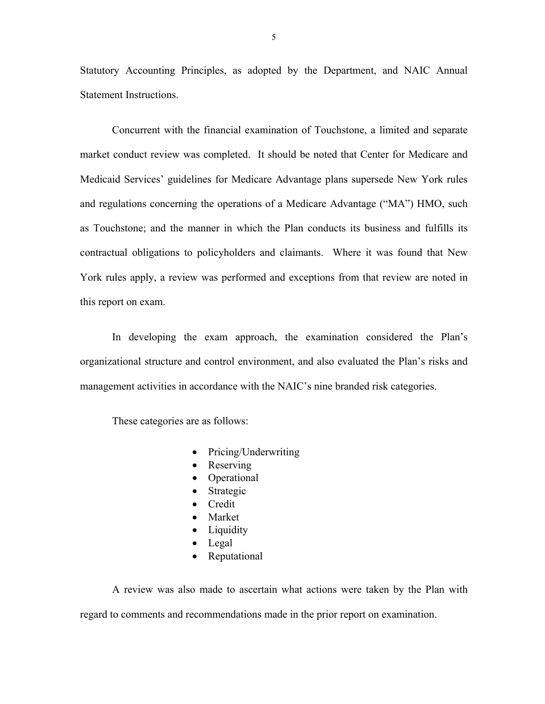Statutory Accounting Principles, as adopted by the Department, and NAIC Annual Statement Instructions.

Concurrent with the financial examination of Touchstone, a limited and separate market conduct review was completed. It should be noted that Center for Medicare and Medicaid Services' guidelines for Medicare Advantage plans supersede New York rules and regulations concerning the operations of a Medicare Advantage ("MA") HMO, such as Touchstone; and the manner in which the Plan conducts its business and fulfills its contractual obligations to policyholders and claimants. Where it was found that New York rules apply, a review was performed and exceptions from that review are noted in this report on exam.

In developing the exam approach, the examination considered the Plan's organizational structure and control environment, and also evaluated the Plan's risks and management activities in accordance with the NAIC's nine branded risk categories.

These categories are as follows:

- Pricing/Underwriting
- Reserving
- Operational
- Strategic
- Credit
- Market
- Liquidity
- Legal
- Reputational

A review was also made to ascertain what actions were taken by the Plan with regard to comments and recommendations made in the prior report on examination.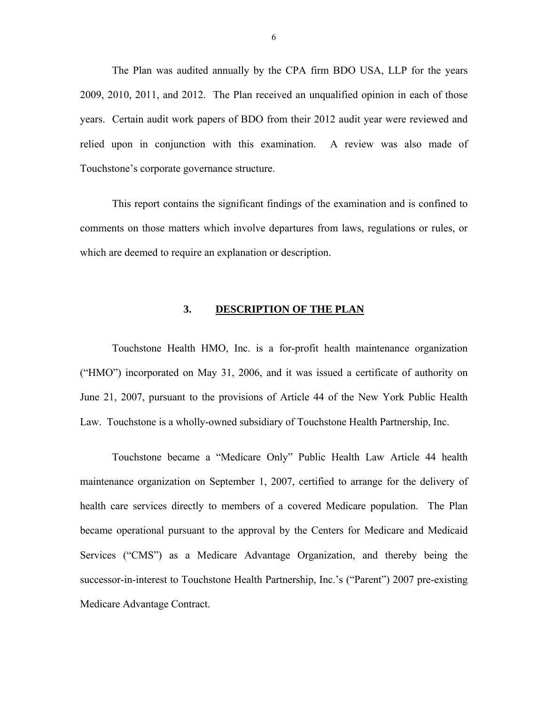<span id="page-7-0"></span>The Plan was audited annually by the CPA firm BDO USA, LLP for the years 2009, 2010, 2011, and 2012. The Plan received an unqualified opinion in each of those years. Certain audit work papers of BDO from their 2012 audit year were reviewed and relied upon in conjunction with this examination. A review was also made of Touchstone's corporate governance structure.

This report contains the significant findings of the examination and is confined to comments on those matters which involve departures from laws, regulations or rules, or which are deemed to require an explanation or description.

#### **3. DESCRIPTION OF THE PLAN**

Touchstone Health HMO, Inc. is a for-profit health maintenance organization ("HMO") incorporated on May 31, 2006, and it was issued a certificate of authority on June 21, 2007, pursuant to the provisions of Article 44 of the New York Public Health Law. Touchstone is a wholly-owned subsidiary of Touchstone Health Partnership, Inc.

Touchstone became a "Medicare Only" Public Health Law Article 44 health maintenance organization on September 1, 2007, certified to arrange for the delivery of health care services directly to members of a covered Medicare population. The Plan became operational pursuant to the approval by the Centers for Medicare and Medicaid Services ("CMS") as a Medicare Advantage Organization, and thereby being the successor-in-interest to Touchstone Health Partnership, Inc.'s ("Parent") 2007 pre-existing Medicare Advantage Contract.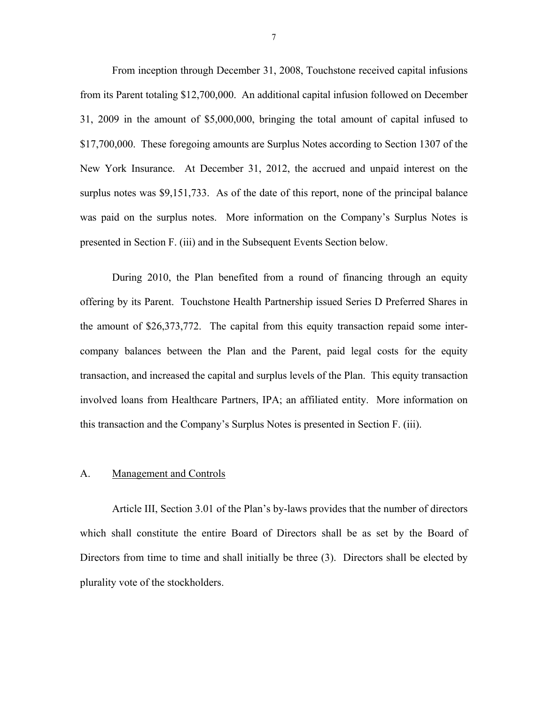<span id="page-8-0"></span>From inception through December 31, 2008, Touchstone received capital infusions from its Parent totaling \$12,700,000. An additional capital infusion followed on December 31, 2009 in the amount of \$5,000,000, bringing the total amount of capital infused to \$17,700,000. These foregoing amounts are Surplus Notes according to Section 1307 of the New York Insurance. At December 31, 2012, the accrued and unpaid interest on the surplus notes was \$9,151,733. As of the date of this report, none of the principal balance was paid on the surplus notes. More information on the Company's Surplus Notes is presented in Section F. (iii) and in the Subsequent Events Section below.

During 2010, the Plan benefited from a round of financing through an equity offering by its Parent. Touchstone Health Partnership issued Series D Preferred Shares in the amount of \$26,373,772. The capital from this equity transaction repaid some intercompany balances between the Plan and the Parent, paid legal costs for the equity transaction, and increased the capital and surplus levels of the Plan. This equity transaction involved loans from Healthcare Partners, IPA; an affiliated entity. More information on this transaction and the Company's Surplus Notes is presented in Section F. (iii).

#### A. Management and Controls

Article III, Section 3.01 of the Plan's by-laws provides that the number of directors which shall constitute the entire Board of Directors shall be as set by the Board of Directors from time to time and shall initially be three (3). Directors shall be elected by plurality vote of the stockholders.

7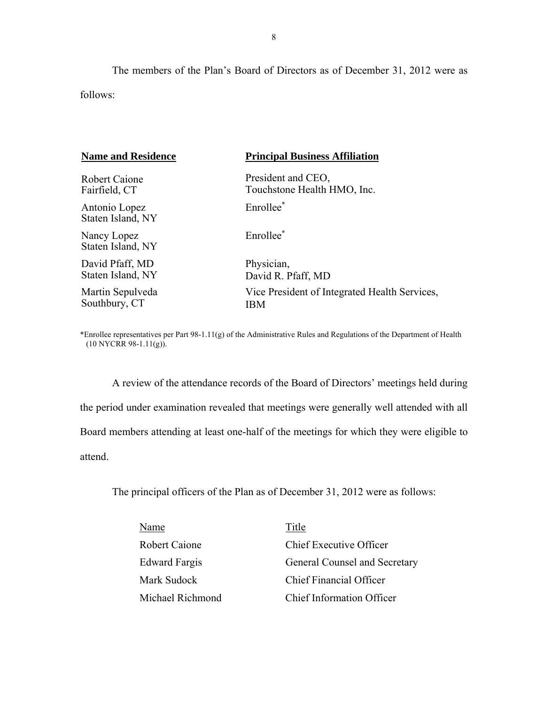The members of the Plan's Board of Directors as of December 31, 2012 were as follows:

| <b>Name and Residence</b>          | <b>Principal Business Affiliation</b>         |
|------------------------------------|-----------------------------------------------|
| Robert Caione                      | President and CEO,                            |
| Fairfield, CT                      | Touchstone Health HMO, Inc.                   |
| Antonio Lopez<br>Staten Island, NY | Enrollee <sup>*</sup>                         |
| Nancy Lopez<br>Staten Island, NY   | Enrollee*                                     |
| David Pfaff, MD                    | Physician,                                    |
| Staten Island, NY                  | David R. Pfaff, MD                            |
| Martin Sepulveda                   | Vice President of Integrated Health Services, |
| Southbury, CT                      | IBM                                           |

\*Enrollee representatives per Part 98-1.11(g) of the Administrative Rules and Regulations of the Department of Health  $(10 \text{ NYCRR } 98-1.11(g))$ .

A review of the attendance records of the Board of Directors' meetings held during the period under examination revealed that meetings were generally well attended with all Board members attending at least one-half of the meetings for which they were eligible to attend.

The principal officers of the Plan as of December 31, 2012 were as follows:

| <b>Name</b>          | Title                            |
|----------------------|----------------------------------|
| Robert Caione        | Chief Executive Officer          |
| <b>Edward Fargis</b> | General Counsel and Secretary    |
| Mark Sudock          | <b>Chief Financial Officer</b>   |
| Michael Richmond     | <b>Chief Information Officer</b> |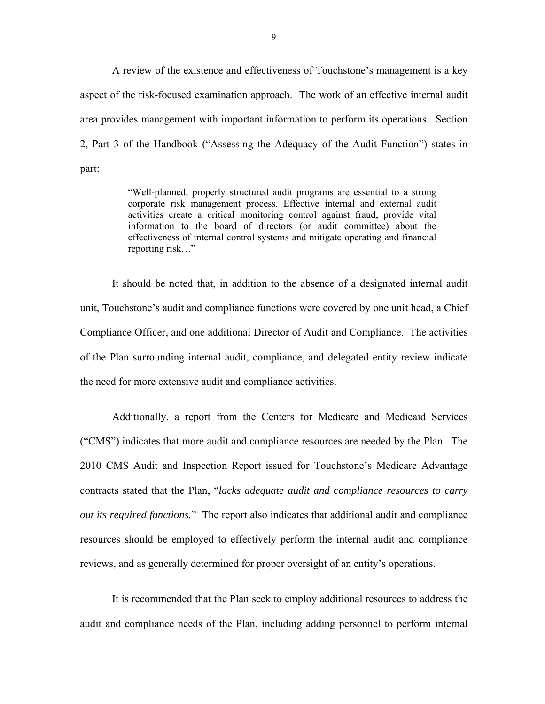A review of the existence and effectiveness of Touchstone's management is a key aspect of the risk-focused examination approach. The work of an effective internal audit area provides management with important information to perform its operations. Section 2, Part 3 of the Handbook ("Assessing the Adequacy of the Audit Function") states in part:

> "Well-planned, properly structured audit programs are essential to a strong corporate risk management process. Effective internal and external audit activities create a critical monitoring control against fraud, provide vital information to the board of directors (or audit committee) about the effectiveness of internal control systems and mitigate operating and financial reporting risk…"

It should be noted that, in addition to the absence of a designated internal audit unit, Touchstone's audit and compliance functions were covered by one unit head, a Chief Compliance Officer, and one additional Director of Audit and Compliance. The activities of the Plan surrounding internal audit, compliance, and delegated entity review indicate the need for more extensive audit and compliance activities.

Additionally, a report from the Centers for Medicare and Medicaid Services ("CMS") indicates that more audit and compliance resources are needed by the Plan. The 2010 CMS Audit and Inspection Report issued for Touchstone's Medicare Advantage contracts stated that the Plan, "*lacks adequate audit and compliance resources to carry out its required functions.*" The report also indicates that additional audit and compliance resources should be employed to effectively perform the internal audit and compliance reviews, and as generally determined for proper oversight of an entity's operations.

It is recommended that the Plan seek to employ additional resources to address the audit and compliance needs of the Plan, including adding personnel to perform internal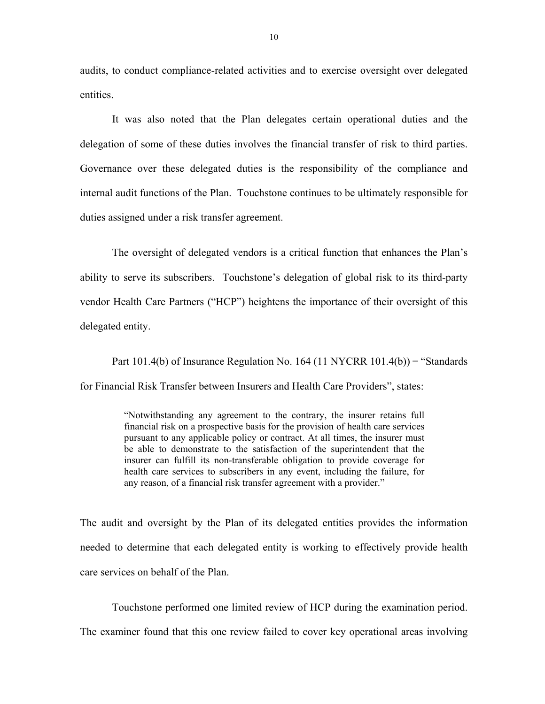audits, to conduct compliance-related activities and to exercise oversight over delegated entities.

It was also noted that the Plan delegates certain operational duties and the delegation of some of these duties involves the financial transfer of risk to third parties. Governance over these delegated duties is the responsibility of the compliance and internal audit functions of the Plan. Touchstone continues to be ultimately responsible for duties assigned under a risk transfer agreement.

The oversight of delegated vendors is a critical function that enhances the Plan's ability to serve its subscribers. Touchstone's delegation of global risk to its third-party vendor Health Care Partners ("HCP") heightens the importance of their oversight of this delegated entity.

Part 101.4(b) of Insurance Regulation No. 164 (11 NYCRR 101.4(b)) ̶ "Standards for Financial Risk Transfer between Insurers and Health Care Providers", states:

> "Notwithstanding any agreement to the contrary, the insurer retains full financial risk on a prospective basis for the provision of health care services pursuant to any applicable policy or contract. At all times, the insurer must be able to demonstrate to the satisfaction of the superintendent that the insurer can fulfill its non-transferable obligation to provide coverage for health care services to subscribers in any event, including the failure, for any reason, of a financial risk transfer agreement with a provider."

The audit and oversight by the Plan of its delegated entities provides the information needed to determine that each delegated entity is working to effectively provide health care services on behalf of the Plan.

Touchstone performed one limited review of HCP during the examination period.

The examiner found that this one review failed to cover key operational areas involving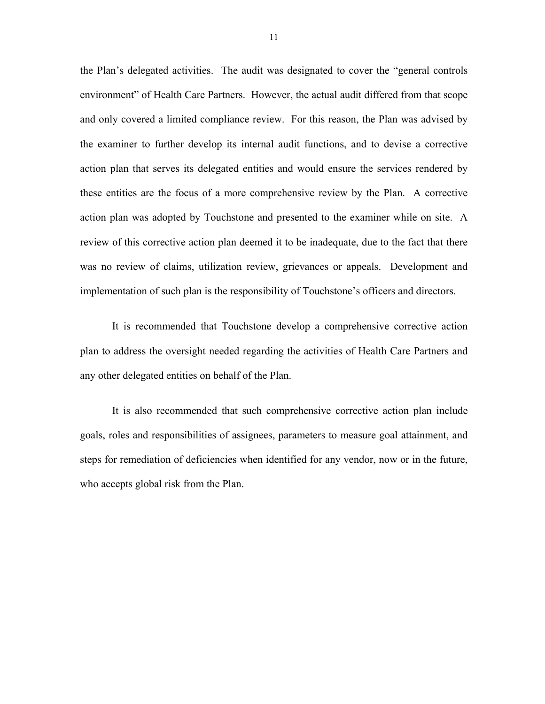the Plan's delegated activities. The audit was designated to cover the "general controls environment" of Health Care Partners. However, the actual audit differed from that scope and only covered a limited compliance review. For this reason, the Plan was advised by the examiner to further develop its internal audit functions, and to devise a corrective action plan that serves its delegated entities and would ensure the services rendered by these entities are the focus of a more comprehensive review by the Plan. A corrective action plan was adopted by Touchstone and presented to the examiner while on site. A review of this corrective action plan deemed it to be inadequate, due to the fact that there was no review of claims, utilization review, grievances or appeals. Development and implementation of such plan is the responsibility of Touchstone's officers and directors.

It is recommended that Touchstone develop a comprehensive corrective action plan to address the oversight needed regarding the activities of Health Care Partners and any other delegated entities on behalf of the Plan.

It is also recommended that such comprehensive corrective action plan include goals, roles and responsibilities of assignees, parameters to measure goal attainment, and steps for remediation of deficiencies when identified for any vendor, now or in the future, who accepts global risk from the Plan.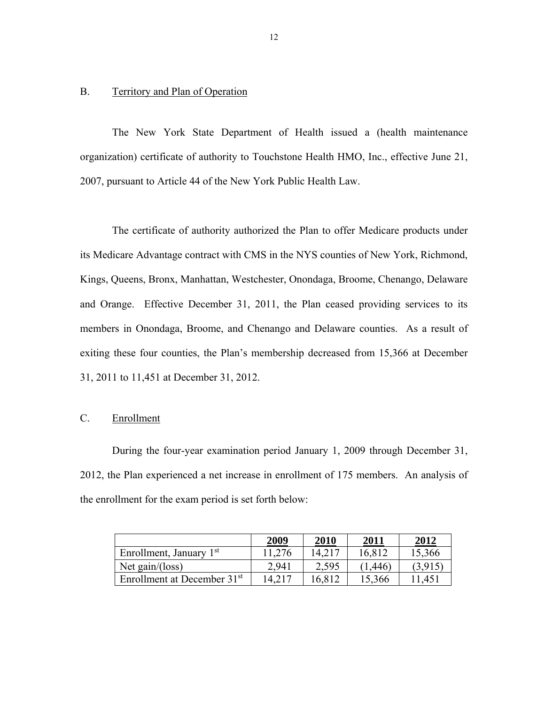#### B. Territory and Plan of Operation

The New York State Department of Health issued a (health maintenance organization) certificate of authority to Touchstone Health HMO, Inc., effective June 21, 2007, pursuant to Article 44 of the New York Public Health Law.

The certificate of authority authorized the Plan to offer Medicare products under its Medicare Advantage contract with CMS in the NYS counties of New York, Richmond, Kings, Queens, Bronx, Manhattan, Westchester, Onondaga, Broome, Chenango, Delaware and Orange. Effective December 31, 2011, the Plan ceased providing services to its members in Onondaga, Broome, and Chenango and Delaware counties. As a result of exiting these four counties, the Plan's membership decreased from 15,366 at December 31, 2011 to 11,451 at December 31, 2012.

## C. Enrollment

During the four-year examination period January 1, 2009 through December 31, 2012, the Plan experienced a net increase in enrollment of 175 members. An analysis of the enrollment for the exam period is set forth below:

|                                         | 2009   | 2010   | 2011    | 2012   |
|-----------------------------------------|--------|--------|---------|--------|
| Enrollment, January 1 <sup>st</sup>     | 11,276 | 14.217 | 16,812  | 15,366 |
| Net gain/(loss)                         | 2941   | 2.595  | (1,446) | 3.915  |
| Enrollment at December 31 <sup>st</sup> | 14.217 | 16,812 | 15,366  | 1.451  |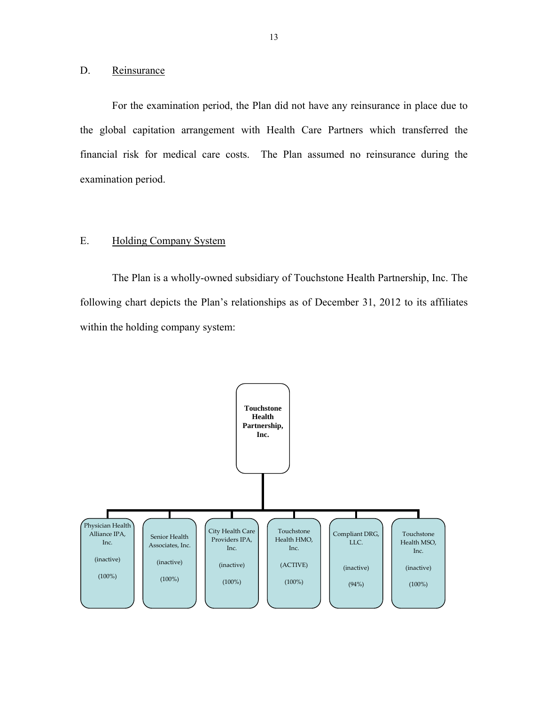#### <span id="page-14-0"></span>D. Reinsurance

For the examination period, the Plan did not have any reinsurance in place due to the global capitation arrangement with Health Care Partners which transferred the financial risk for medical care costs. The Plan assumed no reinsurance during the examination period.

### E. Holding Company System

The Plan is a wholly-owned subsidiary of Touchstone Health Partnership, Inc. The following chart depicts the Plan's relationships as of December 31, 2012 to its affiliates within the holding company system:

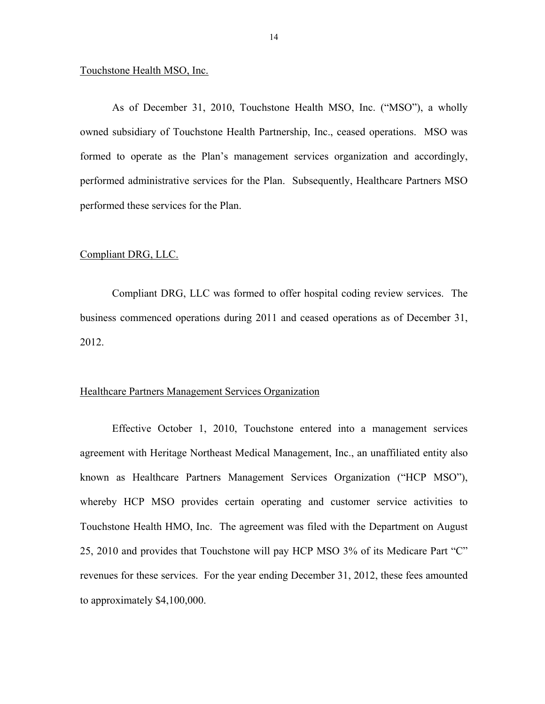Touchstone Health MSO, Inc.

As of December 31, 2010, Touchstone Health MSO, Inc. ("MSO"), a wholly owned subsidiary of Touchstone Health Partnership, Inc., ceased operations. MSO was formed to operate as the Plan's management services organization and accordingly, performed administrative services for the Plan. Subsequently, Healthcare Partners MSO performed these services for the Plan.

#### Compliant DRG, LLC.

Compliant DRG, LLC was formed to offer hospital coding review services. The business commenced operations during 2011 and ceased operations as of December 31, 2012.

#### Healthcare Partners Management Services Organization

Effective October 1, 2010, Touchstone entered into a management services agreement with Heritage Northeast Medical Management, Inc., an unaffiliated entity also known as Healthcare Partners Management Services Organization ("HCP MSO"), whereby HCP MSO provides certain operating and customer service activities to Touchstone Health HMO, Inc. The agreement was filed with the Department on August 25, 2010 and provides that Touchstone will pay HCP MSO 3% of its Medicare Part "C" revenues for these services. For the year ending December 31, 2012, these fees amounted to approximately \$4,100,000.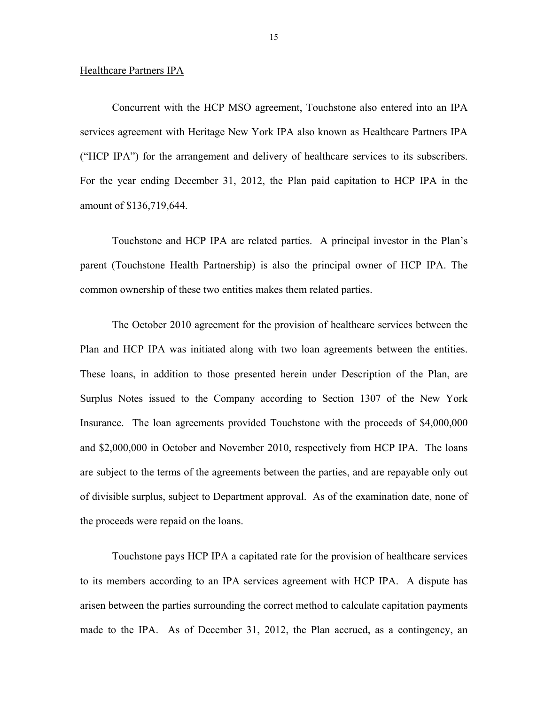#### Healthcare Partners IPA

 ("HCP IPA") for the arrangement and delivery of healthcare services to its subscribers. For the year ending December 31, 2012, the Plan paid capitation to HCP IPA in the Concurrent with the HCP MSO agreement, Touchstone also entered into an IPA services agreement with Heritage New York IPA also known as Healthcare Partners IPA amount of \$136,719,644.

Touchstone and HCP IPA are related parties. A principal investor in the Plan's parent (Touchstone Health Partnership) is also the principal owner of HCP IPA. The common ownership of these two entities makes them related parties.

The October 2010 agreement for the provision of healthcare services between the Plan and HCP IPA was initiated along with two loan agreements between the entities. These loans, in addition to those presented herein under Description of the Plan, are Surplus Notes issued to the Company according to Section 1307 of the New York Insurance. The loan agreements provided Touchstone with the proceeds of \$4,000,000 and \$2,000,000 in October and November 2010, respectively from HCP IPA. The loans are subject to the terms of the agreements between the parties, and are repayable only out of divisible surplus, subject to Department approval. As of the examination date, none of the proceeds were repaid on the loans.

Touchstone pays HCP IPA a capitated rate for the provision of healthcare services to its members according to an IPA services agreement with HCP IPA. A dispute has arisen between the parties surrounding the correct method to calculate capitation payments made to the IPA. As of December 31, 2012, the Plan accrued, as a contingency, an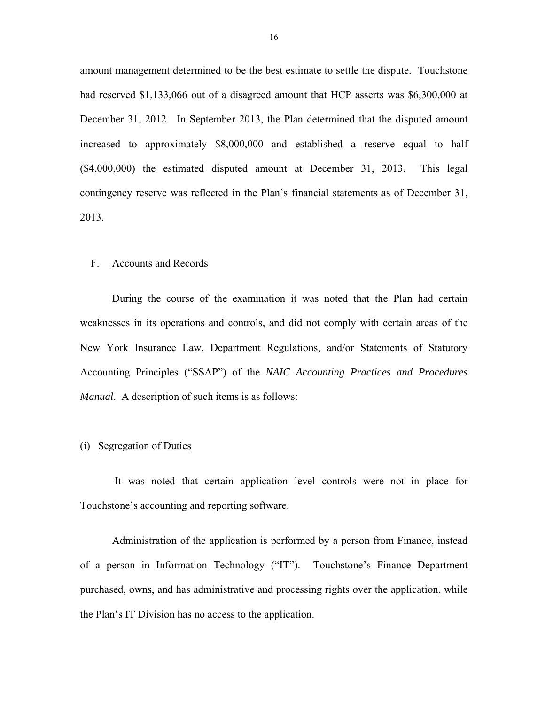<span id="page-17-0"></span>amount management determined to be the best estimate to settle the dispute. Touchstone had reserved \$1,133,066 out of a disagreed amount that HCP asserts was \$6,300,000 at December 31, 2012. In September 2013, the Plan determined that the disputed amount increased to approximately \$8,000,000 and established a reserve equal to half (\$4,000,000) the estimated disputed amount at December 31, 2013. This legal contingency reserve was reflected in the Plan's financial statements as of December 31, 2013.

#### F. Accounts and Records

During the course of the examination it was noted that the Plan had certain weaknesses in its operations and controls, and did not comply with certain areas of the New York Insurance Law, Department Regulations, and/or Statements of Statutory Accounting Principles ("SSAP") of the *NAIC Accounting Practices and Procedures Manual*. A description of such items is as follows:

#### (i) Segregation of Duties

It was noted that certain application level controls were not in place for Touchstone's accounting and reporting software.

Administration of the application is performed by a person from Finance, instead of a person in Information Technology ("IT"). Touchstone's Finance Department purchased, owns, and has administrative and processing rights over the application, while the Plan's IT Division has no access to the application.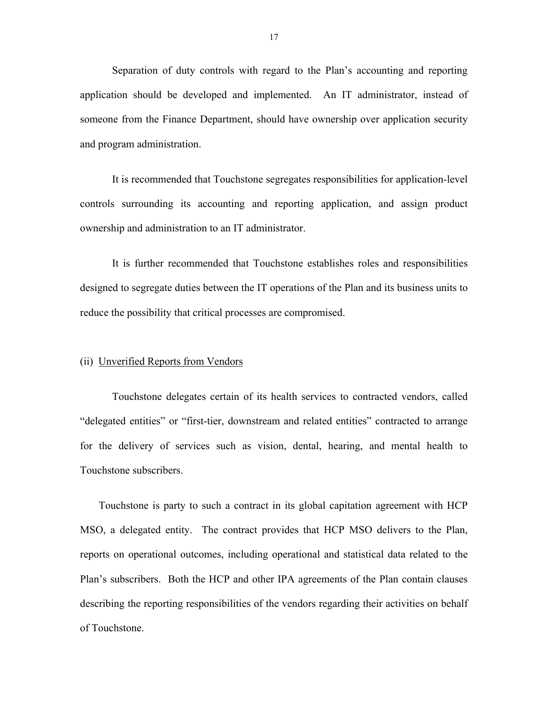<span id="page-18-0"></span>Separation of duty controls with regard to the Plan's accounting and reporting application should be developed and implemented. An IT administrator, instead of someone from the Finance Department, should have ownership over application security and program administration.

It is recommended that Touchstone segregates responsibilities for application-level controls surrounding its accounting and reporting application, and assign product ownership and administration to an IT administrator.

It is further recommended that Touchstone establishes roles and responsibilities designed to segregate duties between the IT operations of the Plan and its business units to reduce the possibility that critical processes are compromised.

#### (ii) Unverified Reports from Vendors

Touchstone delegates certain of its health services to contracted vendors, called "delegated entities" or "first-tier, downstream and related entities" contracted to arrange for the delivery of services such as vision, dental, hearing, and mental health to Touchstone subscribers.

 Touchstone is party to such a contract in its global capitation agreement with HCP MSO, a delegated entity. The contract provides that HCP MSO delivers to the Plan, reports on operational outcomes, including operational and statistical data related to the Plan's subscribers. Both the HCP and other IPA agreements of the Plan contain clauses describing the reporting responsibilities of the vendors regarding their activities on behalf of Touchstone.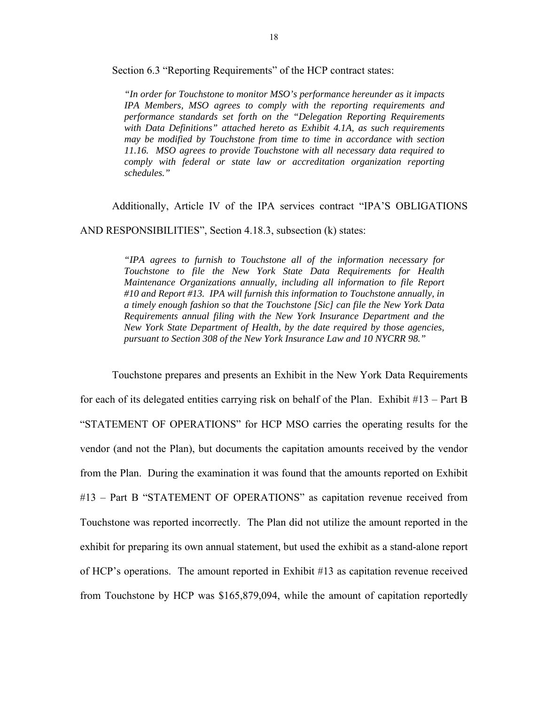Section 6.3 "Reporting Requirements" of the HCP contract states:

*"In order for Touchstone to monitor MSO's performance hereunder as it impacts IPA Members, MSO agrees to comply with the reporting requirements and performance standards set forth on the "Delegation Reporting Requirements with Data Definitions" attached hereto as Exhibit 4.1A, as such requirements may be modified by Touchstone from time to time in accordance with section 11.16. MSO agrees to provide Touchstone with all necessary data required to comply with federal or state law or accreditation organization reporting schedules."* 

Additionally, Article IV of the IPA services contract "IPA'S OBLIGATIONS

AND RESPONSIBILITIES", Section 4.18.3, subsection (k) states:

*"IPA agrees to furnish to Touchstone all of the information necessary for Touchstone to file the New York State Data Requirements for Health Maintenance Organizations annually, including all information to file Report #10 and Report #13. IPA will furnish this information to Touchstone annually, in a timely enough fashion so that the Touchstone [Sic] can file the New York Data Requirements annual filing with the New York Insurance Department and the New York State Department of Health, by the date required by those agencies, pursuant to Section 308 of the New York Insurance Law and 10 NYCRR 98."* 

Touchstone prepares and presents an Exhibit in the New York Data Requirements for each of its delegated entities carrying risk on behalf of the Plan. Exhibit #13 – Part B "STATEMENT OF OPERATIONS" for HCP MSO carries the operating results for the vendor (and not the Plan), but documents the capitation amounts received by the vendor from the Plan. During the examination it was found that the amounts reported on Exhibit #13 – Part B "STATEMENT OF OPERATIONS" as capitation revenue received from Touchstone was reported incorrectly. The Plan did not utilize the amount reported in the exhibit for preparing its own annual statement, but used the exhibit as a stand-alone report of HCP's operations. The amount reported in Exhibit #13 as capitation revenue received from Touchstone by HCP was \$165,879,094, while the amount of capitation reportedly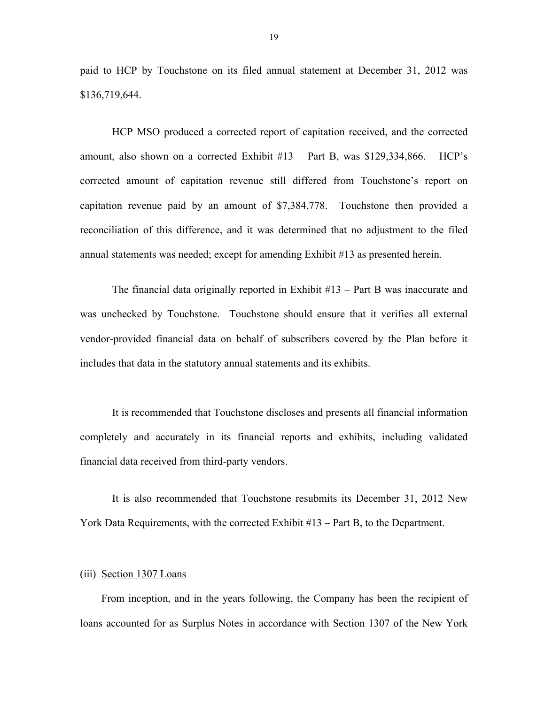<span id="page-20-0"></span>paid to HCP by Touchstone on its filed annual statement at December 31, 2012 was \$136,719,644.

HCP MSO produced a corrected report of capitation received, and the corrected amount, also shown on a corrected Exhibit #13 – Part B, was \$129,334,866. HCP's corrected amount of capitation revenue still differed from Touchstone's report on capitation revenue paid by an amount of \$7,384,778. Touchstone then provided a reconciliation of this difference, and it was determined that no adjustment to the filed annual statements was needed; except for amending Exhibit #13 as presented herein.

The financial data originally reported in Exhibit #13 – Part B was inaccurate and was unchecked by Touchstone. Touchstone should ensure that it verifies all external vendor-provided financial data on behalf of subscribers covered by the Plan before it includes that data in the statutory annual statements and its exhibits.

It is recommended that Touchstone discloses and presents all financial information completely and accurately in its financial reports and exhibits, including validated financial data received from third-party vendors.

It is also recommended that Touchstone resubmits its December 31, 2012 New York Data Requirements, with the corrected Exhibit #13 – Part B, to the Department.

#### (iii) Section 1307 Loans

 From inception, and in the years following, the Company has been the recipient of loans accounted for as Surplus Notes in accordance with Section 1307 of the New York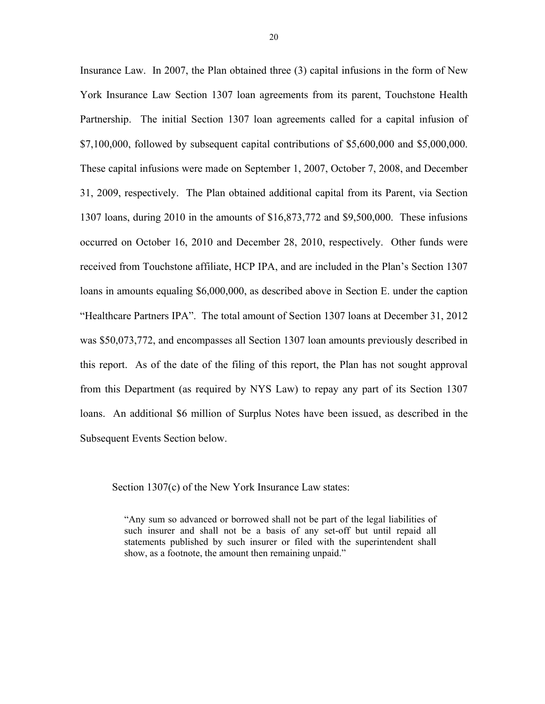Insurance Law. In 2007, the Plan obtained three (3) capital infusions in the form of New York Insurance Law Section 1307 loan agreements from its parent, Touchstone Health Partnership. The initial Section 1307 loan agreements called for a capital infusion of \$7,100,000, followed by subsequent capital contributions of \$5,600,000 and \$5,000,000. These capital infusions were made on September 1, 2007, October 7, 2008, and December 31, 2009, respectively. The Plan obtained additional capital from its Parent, via Section 1307 loans, during 2010 in the amounts of \$16,873,772 and \$9,500,000. These infusions occurred on October 16, 2010 and December 28, 2010, respectively. Other funds were received from Touchstone affiliate, HCP IPA, and are included in the Plan's Section 1307 loans in amounts equaling \$6,000,000, as described above in Section E. under the caption "Healthcare Partners IPA". The total amount of Section 1307 loans at December 31, 2012 was \$50,073,772, and encompasses all Section 1307 loan amounts previously described in this report. As of the date of the filing of this report, the Plan has not sought approval from this Department (as required by NYS Law) to repay any part of its Section 1307 loans. An additional \$6 million of Surplus Notes have been issued, as described in the Subsequent Events Section below.

Section 1307(c) of the New York Insurance Law states:

"Any sum so advanced or borrowed shall not be part of the legal liabilities of such insurer and shall not be a basis of any set-off but until repaid all statements published by such insurer or filed with the superintendent shall show, as a footnote, the amount then remaining unpaid."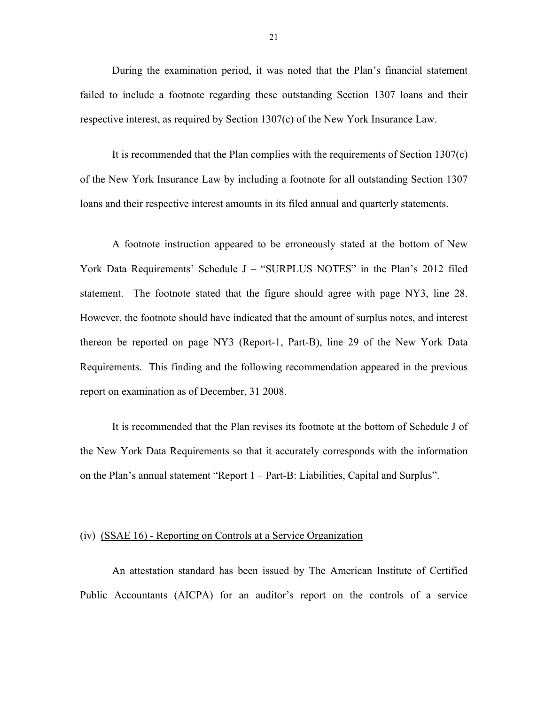<span id="page-22-0"></span>During the examination period, it was noted that the Plan's financial statement failed to include a footnote regarding these outstanding Section 1307 loans and their respective interest, as required by Section 1307(c) of the New York Insurance Law.

It is recommended that the Plan complies with the requirements of Section 1307(c) of the New York Insurance Law by including a footnote for all outstanding Section 1307 loans and their respective interest amounts in its filed annual and quarterly statements.

A footnote instruction appeared to be erroneously stated at the bottom of New York Data Requirements' Schedule J – "SURPLUS NOTES" in the Plan's 2012 filed statement. The footnote stated that the figure should agree with page NY3, line 28. However, the footnote should have indicated that the amount of surplus notes, and interest thereon be reported on page NY3 (Report-1, Part-B), line 29 of the New York Data Requirements. This finding and the following recommendation appeared in the previous report on examination as of December, 31 2008.

It is recommended that the Plan revises its footnote at the bottom of Schedule J of the New York Data Requirements so that it accurately corresponds with the information on the Plan's annual statement "Report 1 – Part-B: Liabilities, Capital and Surplus".

#### (iv) (SSAE 16) - Reporting on Controls at a Service Organization

An attestation standard has been issued by The American Institute of Certified Public Accountants (AICPA) for an auditor's report on the controls of a service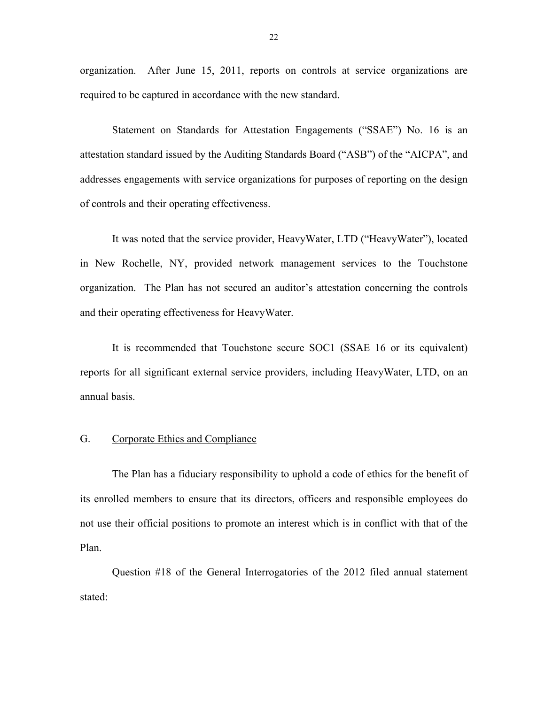<span id="page-23-0"></span>organization. After June 15, 2011, reports on controls at service organizations are required to be captured in accordance with the new standard.

Statement on Standards for Attestation Engagements ("SSAE") No. 16 is an attestation standard issued by the Auditing Standards Board ("ASB") of the "AICPA", and addresses engagements with service organizations for purposes of reporting on the design of controls and their operating effectiveness.

It was noted that the service provider, HeavyWater, LTD ("HeavyWater"), located in New Rochelle, NY, provided network management services to the Touchstone organization. The Plan has not secured an auditor's attestation concerning the controls and their operating effectiveness for HeavyWater.

It is recommended that Touchstone secure SOC1 (SSAE 16 or its equivalent) reports for all significant external service providers, including HeavyWater, LTD, on an annual basis.

#### G. Corporate Ethics and Compliance

The Plan has a fiduciary responsibility to uphold a code of ethics for the benefit of its enrolled members to ensure that its directors, officers and responsible employees do not use their official positions to promote an interest which is in conflict with that of the Plan.

Question #18 of the General Interrogatories of the 2012 filed annual statement stated: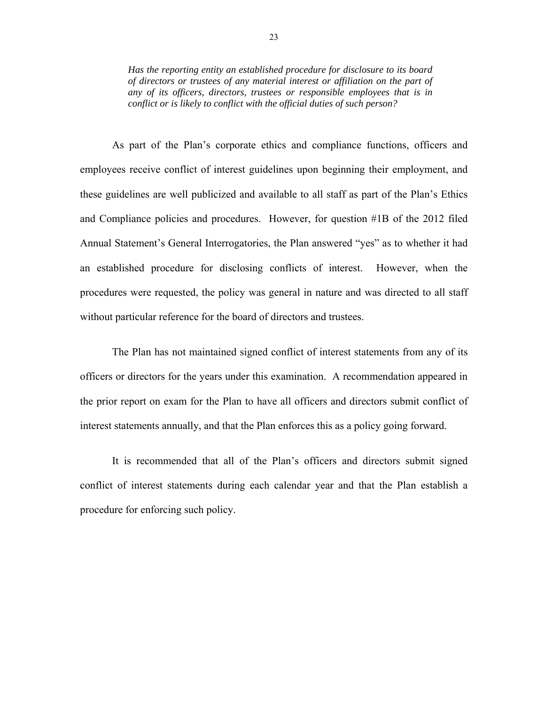*Has the reporting entity an established procedure for disclosure to its board of directors or trustees of any material interest or affiliation on the part of any of its officers, directors, trustees or responsible employees that is in conflict or is likely to conflict with the official duties of such person?* 

As part of the Plan's corporate ethics and compliance functions, officers and employees receive conflict of interest guidelines upon beginning their employment, and these guidelines are well publicized and available to all staff as part of the Plan's Ethics and Compliance policies and procedures. However, for question #1B of the 2012 filed Annual Statement's General Interrogatories, the Plan answered "yes" as to whether it had an established procedure for disclosing conflicts of interest. However, when the procedures were requested, the policy was general in nature and was directed to all staff without particular reference for the board of directors and trustees.

The Plan has not maintained signed conflict of interest statements from any of its officers or directors for the years under this examination. A recommendation appeared in the prior report on exam for the Plan to have all officers and directors submit conflict of interest statements annually, and that the Plan enforces this as a policy going forward.

It is recommended that all of the Plan's officers and directors submit signed conflict of interest statements during each calendar year and that the Plan establish a procedure for enforcing such policy.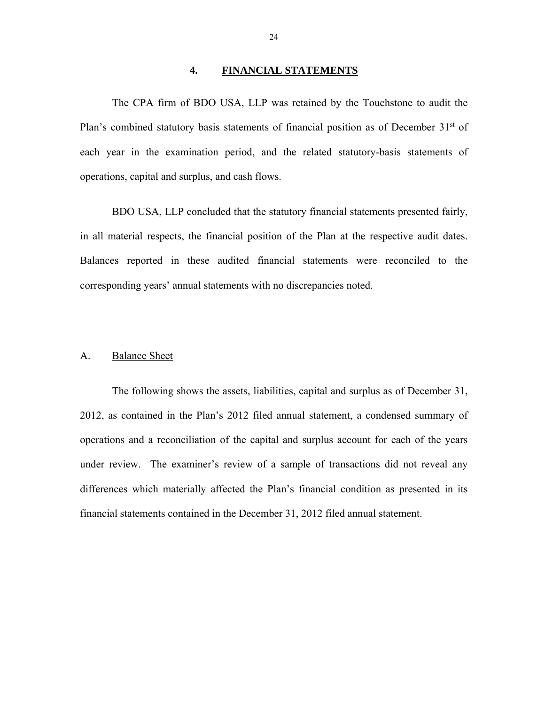#### **4. FINANCIAL STATEMENTS**

<span id="page-25-0"></span>The CPA firm of BDO USA, LLP was retained by the Touchstone to audit the Plan's combined statutory basis statements of financial position as of December 31<sup>st</sup> of each year in the examination period, and the related statutory-basis statements of operations, capital and surplus, and cash flows.

BDO USA, LLP concluded that the statutory financial statements presented fairly, in all material respects, the financial position of the Plan at the respective audit dates. Balances reported in these audited financial statements were reconciled to the corresponding years' annual statements with no discrepancies noted.

#### A. Balance Sheet

The following shows the assets, liabilities, capital and surplus as of December 31, 2012, as contained in the Plan's 2012 filed annual statement, a condensed summary of operations and a reconciliation of the capital and surplus account for each of the years under review. The examiner's review of a sample of transactions did not reveal any differences which materially affected the Plan's financial condition as presented in its financial statements contained in the December 31, 2012 filed annual statement.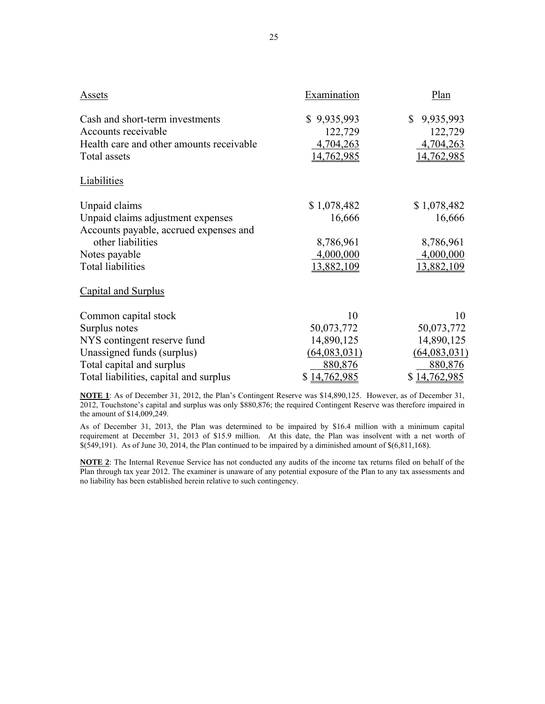| Assets                                   | Examination  | Plan                      |
|------------------------------------------|--------------|---------------------------|
| Cash and short-term investments          | \$9,935,993  | $\mathbb{S}$<br>9,935,993 |
| Accounts receivable                      | 122,729      | 122,729                   |
| Health care and other amounts receivable | 4,704,263    | 4,704,263                 |
| Total assets                             | 14,762,985   | 14,762,985                |
| Liabilities                              |              |                           |
| Unpaid claims                            | \$1,078,482  | \$1,078,482               |
| Unpaid claims adjustment expenses        | 16,666       | 16,666                    |
| Accounts payable, accrued expenses and   |              |                           |
| other liabilities                        | 8,786,961    | 8,786,961                 |
| Notes payable                            | 4,000,000    | 4,000,000                 |
| <b>Total liabilities</b>                 | 13,882,109   | 13,882,109                |
| <b>Capital and Surplus</b>               |              |                           |
| Common capital stock                     | 10           | 10                        |
| Surplus notes                            | 50,073,772   | 50,073,772                |
| NYS contingent reserve fund              | 14,890,125   | 14,890,125                |
| Unassigned funds (surplus)               | (64,083,031) | (64, 083, 031)            |
| Total capital and surplus                | 880,876      | 880,876                   |
| Total liabilities, capital and surplus   | \$14,762,985 | \$14,762,985              |

**NOTE 1**: As of December 31, 2012, the Plan's Contingent Reserve was \$14,890,125. However, as of December 31, 2012, Touchstone's capital and surplus was only \$880,876; the required Contingent Reserve was therefore impaired in the amount of \$14,009,249.

As of December 31, 2013, the Plan was determined to be impaired by \$16.4 million with a minimum capital requirement at December 31, 2013 of \$15.9 million. At this date, the Plan was insolvent with a net worth of  $\frac{\sqrt{549}}{191}$ . As of June 30, 2014, the Plan continued to be impaired by a diminished amount of  $\frac{\sqrt{549}}{11,168}$ .

**NOTE 2**: The Internal Revenue Service has not conducted any audits of the income tax returns filed on behalf of the Plan through tax year 2012. The examiner is unaware of any potential exposure of the Plan to any tax assessments and no liability has been established herein relative to such contingency.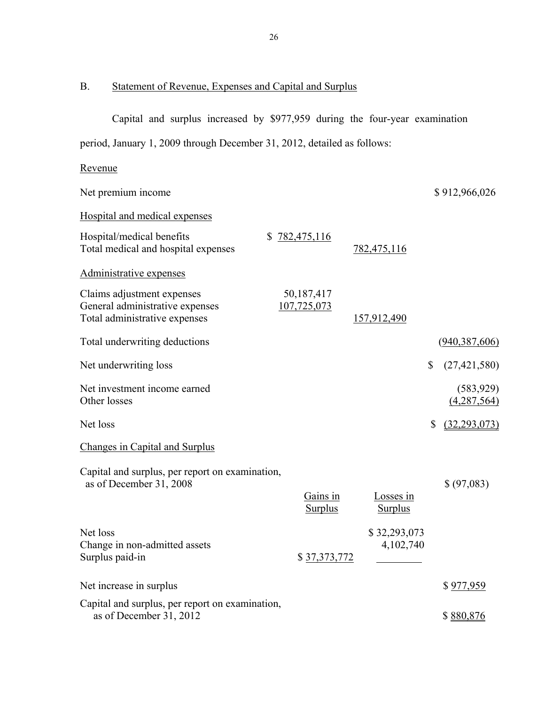# B. Statement of Revenue, Expenses and Capital and Surplus

Capital and surplus increased by \$977,959 during the four-year examination period, January 1, 2009 through December 31, 2012, detailed as follows:

# Revenue

| Net premium income                                                                             |                            |                             | \$912,966,026             |
|------------------------------------------------------------------------------------------------|----------------------------|-----------------------------|---------------------------|
| Hospital and medical expenses                                                                  |                            |                             |                           |
| Hospital/medical benefits<br>Total medical and hospital expenses                               | \$<br><u>782,475,116</u>   | 782,475,116                 |                           |
| Administrative expenses                                                                        |                            |                             |                           |
| Claims adjustment expenses<br>General administrative expenses<br>Total administrative expenses | 50,187,417<br>107,725,073  | 157,912,490                 |                           |
| Total underwriting deductions                                                                  |                            |                             | (940, 387, 606)           |
| Net underwriting loss                                                                          |                            |                             | \$<br>(27, 421, 580)      |
| Net investment income earned<br>Other losses                                                   |                            |                             | (583, 929)<br>(4,287,564) |
| Net loss                                                                                       |                            |                             | \$<br>(32, 293, 073)      |
| <b>Changes in Capital and Surplus</b>                                                          |                            |                             |                           |
| Capital and surplus, per report on examination,<br>as of December 31, 2008                     | Gains in<br><b>Surplus</b> | Losses in<br><b>Surplus</b> | \$ (97,083)               |
| Net loss<br>Change in non-admitted assets<br>Surplus paid-in                                   | \$37,373,772               | \$32,293,073<br>4,102,740   |                           |
| Net increase in surplus                                                                        |                            |                             | \$977,959                 |
| Capital and surplus, per report on examination,<br>as of December 31, 2012                     |                            |                             | \$880,876                 |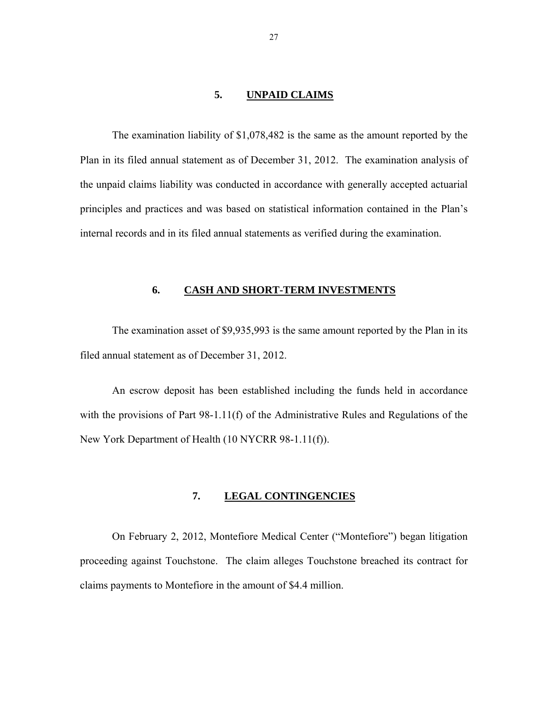#### **5. UNPAID CLAIMS**

<span id="page-28-0"></span>The examination liability of \$1,078,482 is the same as the amount reported by the Plan in its filed annual statement as of December 31, 2012. The examination analysis of the unpaid claims liability was conducted in accordance with generally accepted actuarial principles and practices and was based on statistical information contained in the Plan's internal records and in its filed annual statements as verified during the examination.

#### **6. CASH AND SHORT-TERM INVESTMENTS**

The examination asset of \$9,935,993 is the same amount reported by the Plan in its filed annual statement as of December 31, 2012.

An escrow deposit has been established including the funds held in accordance with the provisions of Part 98-1.11(f) of the Administrative Rules and Regulations of the New York Department of Health (10 NYCRR 98-1.11(f)).

### **7. LEGAL CONTINGENCIES**

On February 2, 2012, Montefiore Medical Center ("Montefiore") began litigation proceeding against Touchstone. The claim alleges Touchstone breached its contract for claims payments to Montefiore in the amount of \$4.4 million.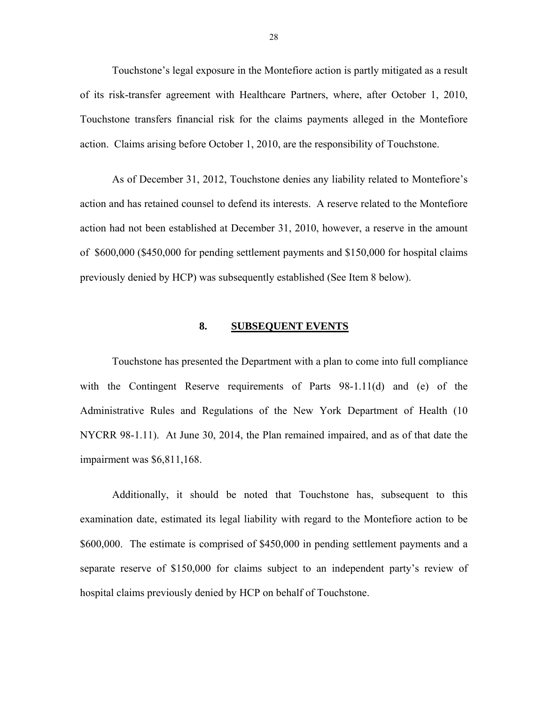<span id="page-29-0"></span>Touchstone's legal exposure in the Montefiore action is partly mitigated as a result of its risk-transfer agreement with Healthcare Partners, where, after October 1, 2010, Touchstone transfers financial risk for the claims payments alleged in the Montefiore action. Claims arising before October 1, 2010, are the responsibility of Touchstone.

As of December 31, 2012, Touchstone denies any liability related to Montefiore's action and has retained counsel to defend its interests. A reserve related to the Montefiore action had not been established at December 31, 2010, however, a reserve in the amount of \$600,000 (\$450,000 for pending settlement payments and \$150,000 for hospital claims previously denied by HCP) was subsequently established (See Item 8 below).

#### **8. SUBSEQUENT EVENTS**

Touchstone has presented the Department with a plan to come into full compliance with the Contingent Reserve requirements of Parts 98-1.11(d) and (e) of the Administrative Rules and Regulations of the New York Department of Health (10 NYCRR 98-1.11). At June 30, 2014, the Plan remained impaired, and as of that date the impairment was \$6,811,168.

Additionally, it should be noted that Touchstone has, subsequent to this examination date, estimated its legal liability with regard to the Montefiore action to be \$600,000. The estimate is comprised of \$450,000 in pending settlement payments and a separate reserve of \$150,000 for claims subject to an independent party's review of hospital claims previously denied by HCP on behalf of Touchstone.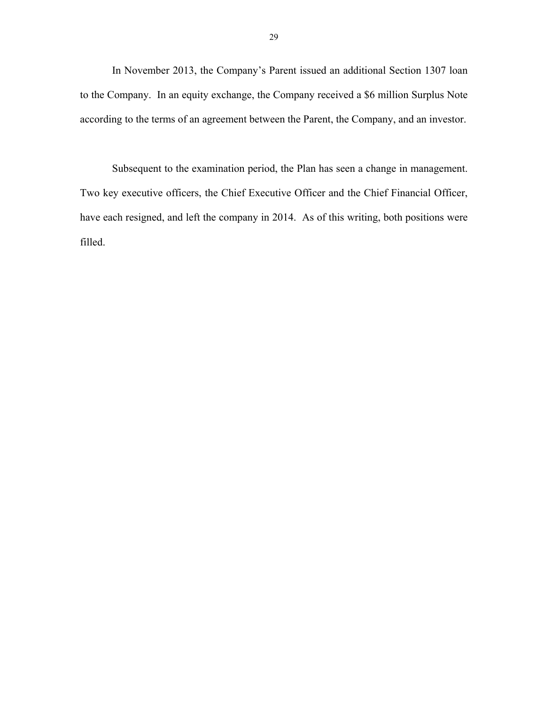In November 2013, the Company's Parent issued an additional Section 1307 loan to the Company. In an equity exchange, the Company received a \$6 million Surplus Note according to the terms of an agreement between the Parent, the Company, and an investor.

Subsequent to the examination period, the Plan has seen a change in management. Two key executive officers, the Chief Executive Officer and the Chief Financial Officer, have each resigned, and left the company in 2014. As of this writing, both positions were filled.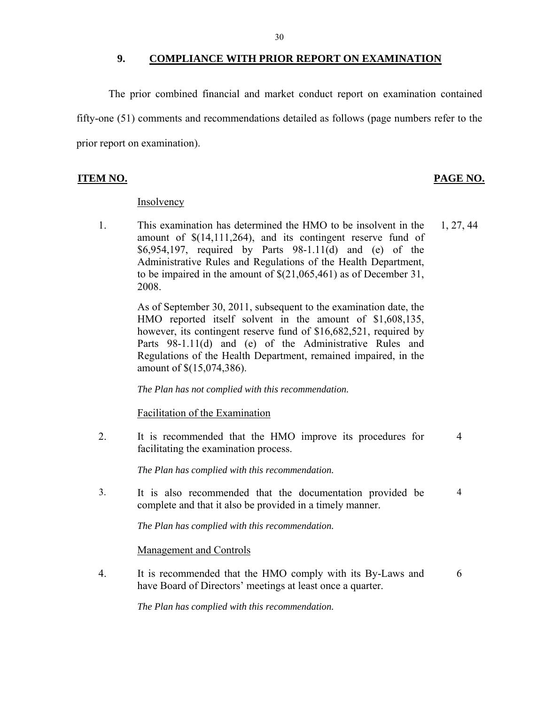**9. COMPLIANCE WITH PRIOR REPORT ON EXAMINATION** 

The prior combined financial and market conduct report on examination contained fifty-one (51) comments and recommendations detailed as follows (page numbers refer to the prior report on examination).

#### **ITEM NO. PAGE NO.**

#### **Insolvency**

1. This examination has determined the HMO to be insolvent in the amount of \$(14,111,264), and its contingent reserve fund of \$6,954,197, required by Parts 98-1.11(d) and (e) of the Administrative Rules and Regulations of the Health Department, to be impaired in the amount of \$(21,065,461) as of December 31, 2008. 1, 27, 44

> As of September 30, 2011, subsequent to the examination date, the HMO reported itself solvent in the amount of \$1,608,135, however, its contingent reserve fund of \$16,682,521, required by Parts 98-1.11(d) and (e) of the Administrative Rules and Regulations of the Health Department, remained impaired, in the amount of \$(15,074,386).

*The Plan has not complied with this recommendation.* 

Facilitation of the Examination

2. It is recommended that the HMO improve its procedures for facilitating the examination process. 4

*The Plan has complied with this recommendation.* 

3. It is also recommended that the documentation provided be complete and that it also be provided in a timely manner. 4

*The Plan has complied with this recommendation.* 

Management and Controls

4. It is recommended that the HMO comply with its By-Laws and have Board of Directors' meetings at least once a quarter. 6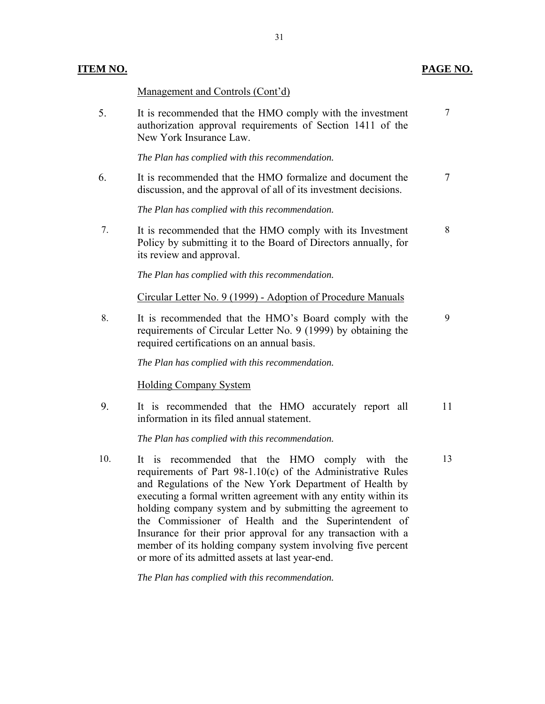#### **ITEM NO. PAGE NO. PAGE NO.**

#### Management and Controls (Cont'd)

authorization approval requirements of Section 1411 of the New York Insurance Law. 5. It is recommended that the HMO comply with the investment

*The Plan has complied with this recommendation.* 

6. It is recommended that the HMO formalize and document the 7 discussion, and the approval of all of its investment decisions.

*The Plan has complied with this recommendation.* 

7. It is recommended that the HMO comply with its Investment 8 Policy by submitting it to the Board of Directors annually, for its review and approval.

*The Plan has complied with this recommendation.* 

Circular Letter No. 9 (1999) - Adoption of Procedure Manuals

8. It is recommended that the HMO's Board comply with the 9 requirements of Circular Letter No. 9 (1999) by obtaining the required certifications on an annual basis.

*The Plan has complied with this recommendation.* 

#### Holding Company System

9. It is recommended that the HMO accurately report all 11 information in its filed annual statement.

*The Plan has complied with this recommendation.* 

10. It is recommended that the HMO comply with the 13 requirements of Part 98-1.10(c) of the Administrative Rules and Regulations of the New York Department of Health by executing a formal written agreement with any entity within its holding company system and by submitting the agreement to the Commissioner of Health and the Superintendent of Insurance for their prior approval for any transaction with a member of its holding company system involving five percent or more of its admitted assets at last year-end.

*The Plan has complied with this recommendation.* 

7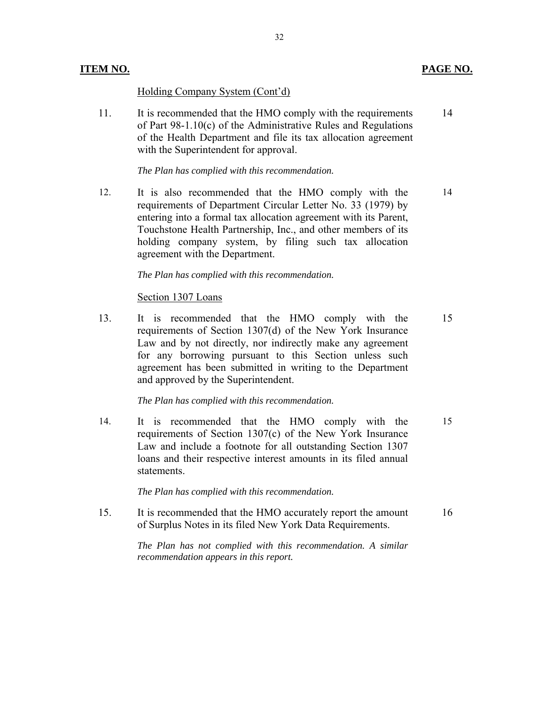#### Holding Company System (Cont'd)

11. It is recommended that the HMO comply with the requirements of Part 98-1.10(c) of the Administrative Rules and Regulations of the Health Department and file its tax allocation agreement with the Superintendent for approval. 14

*The Plan has complied with this recommendation.* 

12. It is also recommended that the HMO comply with the requirements of Department Circular Letter No. 33 (1979) by entering into a formal tax allocation agreement with its Parent, Touchstone Health Partnership, Inc., and other members of its holding company system, by filing such tax allocation agreement with the Department. 14

*The Plan has complied with this recommendation.* 

#### Section 1307 Loans

13. It is recommended that the HMO comply with the requirements of Section 1307(d) of the New York Insurance Law and by not directly, nor indirectly make any agreement for any borrowing pursuant to this Section unless such agreement has been submitted in writing to the Department and approved by the Superintendent. 15

*The Plan has complied with this recommendation.* 

14. It is recommended that the HMO comply with the requirements of Section 1307(c) of the New York Insurance Law and include a footnote for all outstanding Section 1307 loans and their respective interest amounts in its filed annual statements. 15

*The Plan has complied with this recommendation.* 

15. It is recommended that the HMO accurately report the amount of Surplus Notes in its filed New York Data Requirements. 16

> *The Plan has not complied with this recommendation. A similar recommendation appears in this report.*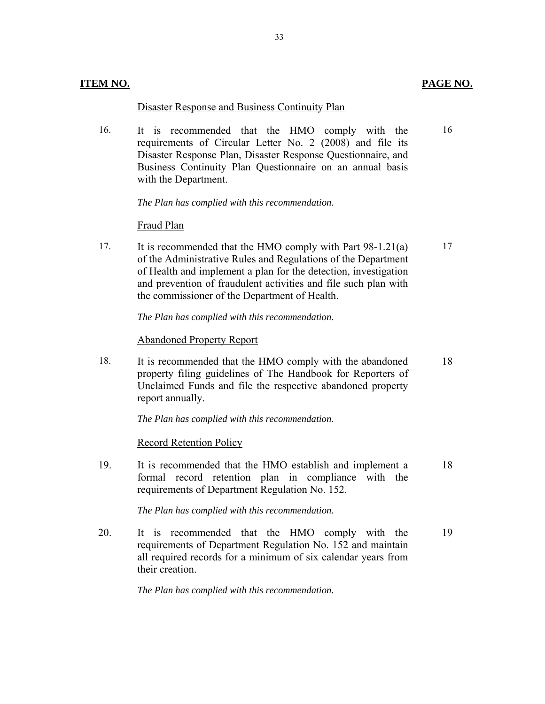#### Disaster Response and Business Continuity Plan

16 requirements of Circular Letter No. 2 (2008) and file its Disaster Response Plan, Disaster Response Questionnaire, and Business Continuity Plan Questionnaire on an annual basis with the Department. 16. It is recommended that the HMO comply with the

*The Plan has complied with this recommendation.*

#### Fraud Plan

17. It is recommended that the HMO comply with Part 98-1.21(a) 17 of the Administrative Rules and Regulations of the Department of Health and implement a plan for the detection, investigation and prevention of fraudulent activities and file such plan with the commissioner of the Department of Health.

*The Plan has complied with this recommendation.* 

#### Abandoned Property Report

18. It is recommended that the HMO comply with the abandoned 18 property filing guidelines of The Handbook for Reporters of Unclaimed Funds and file the respective abandoned property report annually.

*The Plan has complied with this recommendation.* 

#### Record Retention Policy

19. It is recommended that the HMO establish and implement a 18 formal record retention plan in compliance with the requirements of Department Regulation No. 152.

*The Plan has complied with this recommendation.* 

20. It is recommended that the HMO comply with the 19 requirements of Department Regulation No. 152 and maintain all required records for a minimum of six calendar years from their creation.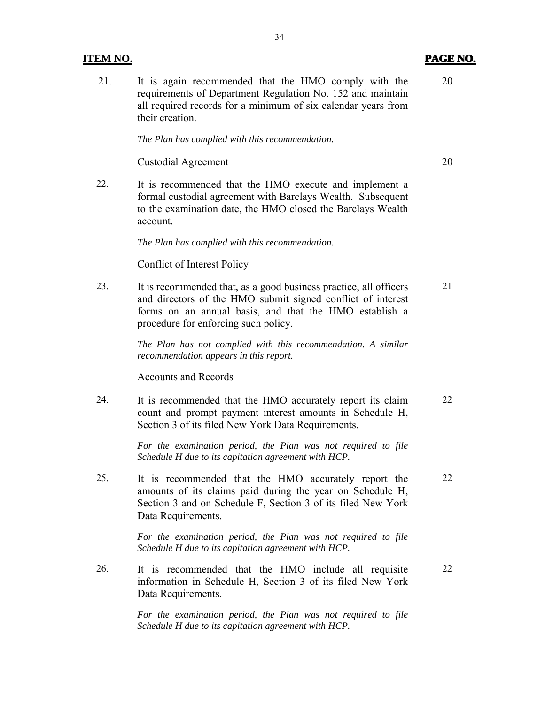21. It is again recommended that the HMO comply with the 20 requirements of Department Regulation No. 152 and maintain all required records for a minimum of six calendar years from their creation.

*The Plan has complied with this recommendation.* 

#### Custodial Agreement 20

22. It is recommended that the HMO execute and implement a formal custodial agreement with Barclays Wealth. Subsequent to the examination date, the HMO closed the Barclays Wealth account.

*The Plan has complied with this recommendation.* 

#### Conflict of Interest Policy

23. It is recommended that, as a good business practice, all officers 21 and directors of the HMO submit signed conflict of interest forms on an annual basis, and that the HMO establish a procedure for enforcing such policy.

> *The Plan has not complied with this recommendation. A similar recommendation appears in this report.*

#### Accounts and Records

24. It is recommended that the HMO accurately report its claim 22 count and prompt payment interest amounts in Schedule H, Section 3 of its filed New York Data Requirements.

> *For the examination period, the Plan was not required to file Schedule H due to its capitation agreement with HCP.*

25. It is recommended that the HMO accurately report the 22 amounts of its claims paid during the year on Schedule H, Section 3 and on Schedule F, Section 3 of its filed New York Data Requirements.

> *For the examination period, the Plan was not required to file Schedule H due to its capitation agreement with HCP.*

22 information in Schedule H, Section 3 of its filed New York Data Requirements. 26. It is recommended that the HMO include all requisite

> *For the examination period, the Plan was not required to file Schedule H due to its capitation agreement with HCP.*

### **PAGE NO. ITEM NO. PAGE NO.**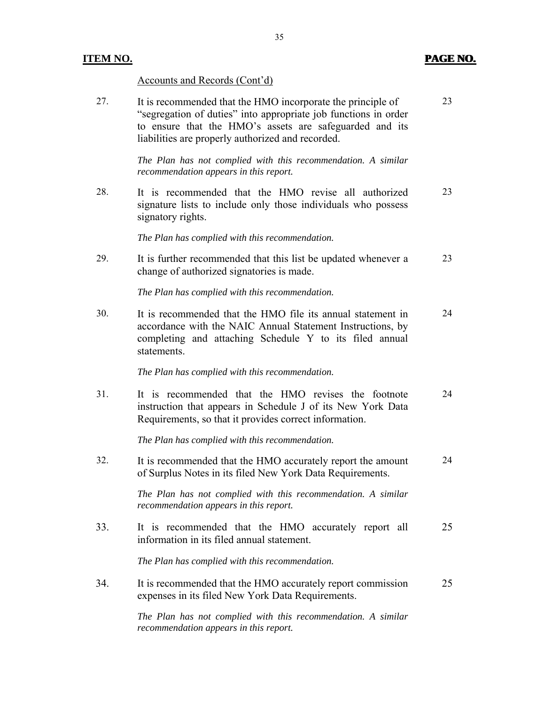#### Accounts and Records (Cont'd)

"segregation of duties" into appropriate job functions in order to ensure that the HMO's assets are safeguarded and its liabilities are properly authorized and recorded. 27. It is recommended that the HMO incorporate the principle of *The Plan has not complied with this recommendation. A similar recommendation appears in this report.*  28. It is recommended that the HMO revise all authorized 23 signature lists to include only those individuals who possess signatory rights. *The Plan has complied with this recommendation.*  29. It is further recommended that this list be updated whenever a 23 change of authorized signatories is made. *The Plan has complied with this recommendation.*  30. It is recommended that the HMO file its annual statement in 24 accordance with the NAIC Annual Statement Instructions, by completing and attaching Schedule Y to its filed annual statements. *The Plan has complied with this recommendation.*  31. It is recommended that the HMO revises the footnote 24 instruction that appears in Schedule J of its New York Data Requirements, so that it provides correct information. *The Plan has complied with this recommendation.*  32. It is recommended that the HMO accurately report the amount 24 of Surplus Notes in its filed New York Data Requirements. *The Plan has not complied with this recommendation. A similar* 

33. It is recommended that the HMO accurately report all 25 information in its filed annual statement.

*The Plan has complied with this recommendation.* 

*recommendation appears in this report.* 

34. It is recommended that the HMO accurately report commission 25 expenses in its filed New York Data Requirements.

> *The Plan has not complied with this recommendation. A similar recommendation appears in this report.*

### **PAGE NO. ITEM NO. PAGE NO.**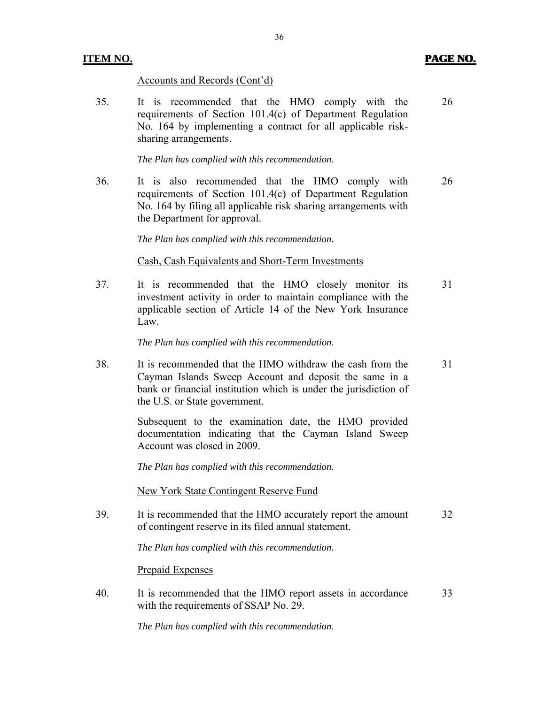#### Accounts and Records (Cont'd)

35. It is recommended that the HMO comply with the 26 requirements of Section 101.4(c) of Department Regulation No. 164 by implementing a contract for all applicable risksharing arrangements.

#### *The Plan has complied with this recommendation.*

36. It is also recommended that the HMO comply with 26 requirements of Section 101.4(c) of Department Regulation No. 164 by filing all applicable risk sharing arrangements with the Department for approval.

*The Plan has complied with this recommendation.* 

#### Cash, Cash Equivalents and Short-Term Investments

37. It is recommended that the HMO closely monitor its 31 investment activity in order to maintain compliance with the applicable section of Article 14 of the New York Insurance Law.

*The Plan has complied with this recommendation.* 

38. It is recommended that the HMO withdraw the cash from the 31 Cayman Islands Sweep Account and deposit the same in a bank or financial institution which is under the jurisdiction of the U.S. or State government.

> Subsequent to the examination date, the HMO provided documentation indicating that the Cayman Island Sweep Account was closed in 2009.

*The Plan has complied with this recommendation.* 

New York State Contingent Reserve Fund

39. It is recommended that the HMO accurately report the amount 32 of contingent reserve in its filed annual statement.

*The Plan has complied with this recommendation.* 

Prepaid Expenses

40. It is recommended that the HMO report assets in accordance 33 with the requirements of SSAP No. 29.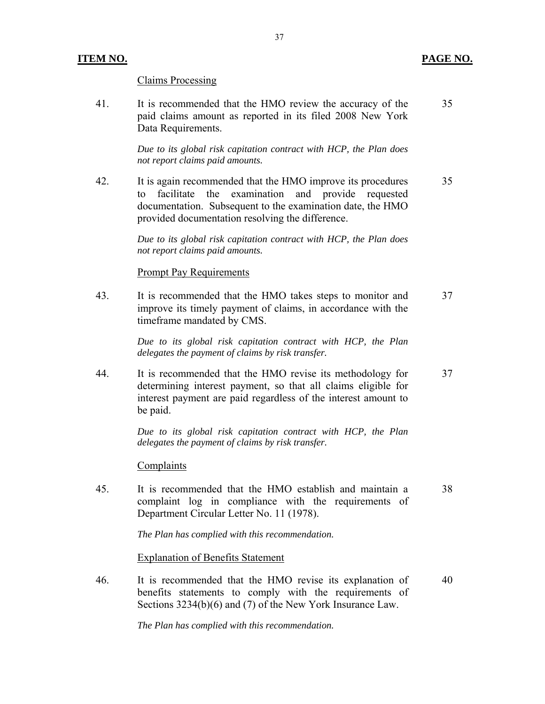#### **ITEM NO. PAGE NO.**

Claims Processing

41. It is recommended that the HMO review the accuracy of the 35 paid claims amount as reported in its filed 2008 New York Data Requirements.

> *Due to its global risk capitation contract with HCP, the Plan does not report claims paid amounts.*

42. It is again recommended that the HMO improve its procedures 35 to facilitate the examination and provide requested documentation. Subsequent to the examination date, the HMO provided documentation resolving the difference.

> *Due to its global risk capitation contract with HCP, the Plan does not report claims paid amounts.*

#### Prompt Pay Requirements

43. It is recommended that the HMO takes steps to monitor and 37 improve its timely payment of claims, in accordance with the timeframe mandated by CMS.

> *Due to its global risk capitation contract with HCP, the Plan delegates the payment of claims by risk transfer.*

44. It is recommended that the HMO revise its methodology for 37 determining interest payment, so that all claims eligible for interest payment are paid regardless of the interest amount to be paid.

> *Due to its global risk capitation contract with HCP, the Plan delegates the payment of claims by risk transfer.*

#### Complaints

45. It is recommended that the HMO establish and maintain a 38 complaint log in compliance with the requirements of Department Circular Letter No. 11 (1978).

*The Plan has complied with this recommendation.* 

Explanation of Benefits Statement

46. It is recommended that the HMO revise its explanation of 40 benefits statements to comply with the requirements of Sections 3234(b)(6) and (7) of the New York Insurance Law.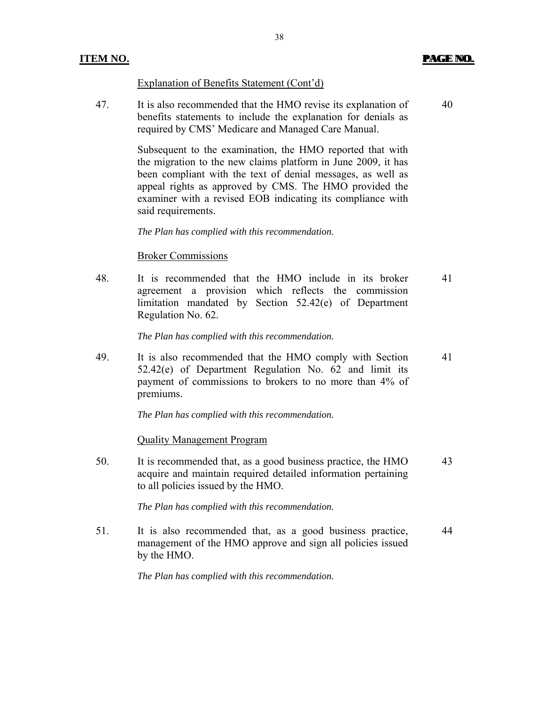#### Explanation of Benefits Statement (Cont'd)

47. It is also recommended that the HMO revise its explanation of 40 benefits statements to include the explanation for denials as required by CMS' Medicare and Managed Care Manual.

38

Subsequent to the examination, the HMO reported that with the migration to the new claims platform in June 2009, it has been compliant with the text of denial messages, as well as appeal rights as approved by CMS. The HMO provided the examiner with a revised EOB indicating its compliance with said requirements.

*The Plan has complied with this recommendation.* 

#### Broker Commissions

48. It is recommended that the HMO include in its broker 41 agreement a provision which reflects the commission limitation mandated by Section 52.42(e) of Department Regulation No. 62.

*The Plan has complied with this recommendation.* 

49. It is also recommended that the HMO comply with Section 41 52.42(e) of Department Regulation No. 62 and limit its payment of commissions to brokers to no more than 4% of premiums.

*The Plan has complied with this recommendation.* 

Quality Management Program

50. It is recommended that, as a good business practice, the HMO 43 acquire and maintain required detailed information pertaining to all policies issued by the HMO.

*The Plan has complied with this recommendation.* 

51. It is also recommended that, as a good business practice, 44 management of the HMO approve and sign all policies issued by the HMO.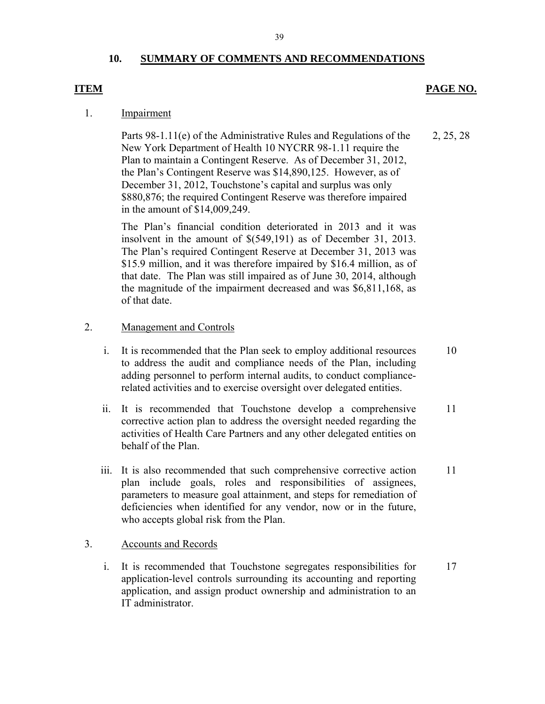#### **10. SUMMARY OF COMMENTS AND RECOMMENDATIONS**

#### **ITEM**

#### **PAGE NO.**

#### 1. Impairment

Parts 98-1.11(e) of the Administrative Rules and Regulations of the New York Department of Health 10 NYCRR 98-1.11 require the Plan to maintain a Contingent Reserve. As of December 31, 2012, the Plan's Contingent Reserve was \$14,890,125. However, as of December 31, 2012, Touchstone's capital and surplus was only \$880,876; the required Contingent Reserve was therefore impaired in the amount of \$14,009,249. 2, 25, 28

The Plan's financial condition deteriorated in 2013 and it was insolvent in the amount of \$(549,191) as of December 31, 2013. The Plan's required Contingent Reserve at December 31, 2013 was \$15.9 million, and it was therefore impaired by \$16.4 million, as of that date. The Plan was still impaired as of June 30, 2014, although the magnitude of the impairment decreased and was \$6,811,168, as of that date.

#### 2. Management and Controls

- i. It is recommended that the Plan seek to employ additional resources to address the audit and compliance needs of the Plan, including adding personnel to perform internal audits, to conduct compliancerelated activities and to exercise oversight over delegated entities. 10
- ii. It is recommended that Touchstone develop a comprehensive corrective action plan to address the oversight needed regarding the activities of Health Care Partners and any other delegated entities on behalf of the Plan. 11
- iii. It is also recommended that such comprehensive corrective action plan include goals, roles and responsibilities of assignees, parameters to measure goal attainment, and steps for remediation of deficiencies when identified for any vendor, now or in the future, who accepts global risk from the Plan. 11

#### 3. Accounts and Records

i. It is recommended that Touchstone segregates responsibilities for application-level controls surrounding its accounting and reporting application, and assign product ownership and administration to an IT administrator. 17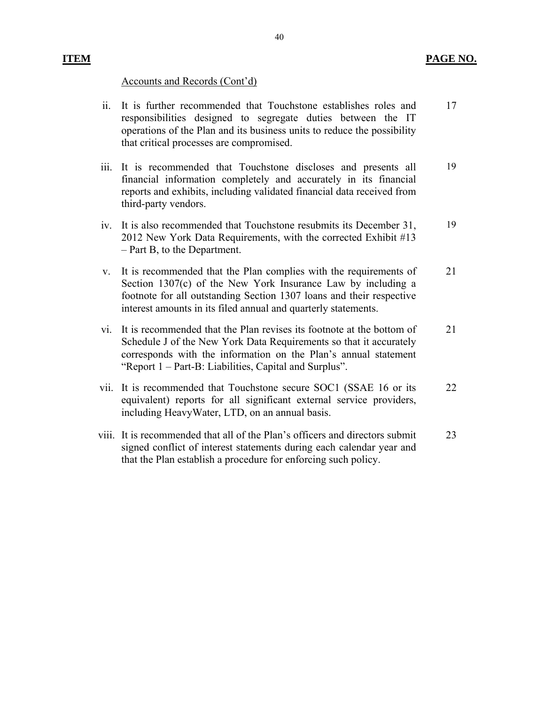#### **ITEM** PAGE NO.

#### Accounts and Records (Cont'd)

- ii. It is further recommended that Touchstone establishes roles and responsibilities designed to segregate duties between the IT operations of the Plan and its business units to reduce the possibility that critical processes are compromised. 17
- iii. It is recommended that Touchstone discloses and presents all financial information completely and accurately in its financial reports and exhibits, including validated financial data received from third-party vendors. 19
- iv. It is also recommended that Touchstone resubmits its December 31, 2012 New York Data Requirements, with the corrected Exhibit #13 – Part B, to the Department. 19
- v. It is recommended that the Plan complies with the requirements of Section 1307(c) of the New York Insurance Law by including a footnote for all outstanding Section 1307 loans and their respective interest amounts in its filed annual and quarterly statements. 21
- vi. It is recommended that the Plan revises its footnote at the bottom of Schedule J of the New York Data Requirements so that it accurately corresponds with the information on the Plan's annual statement "Report 1 – Part-B: Liabilities, Capital and Surplus". 21
- vii. It is recommended that Touchstone secure SOC1 (SSAE 16 or its equivalent) reports for all significant external service providers, including HeavyWater, LTD, on an annual basis. 22
- viii. It is recommended that all of the Plan's officers and directors submit signed conflict of interest statements during each calendar year and that the Plan establish a procedure for enforcing such policy. 23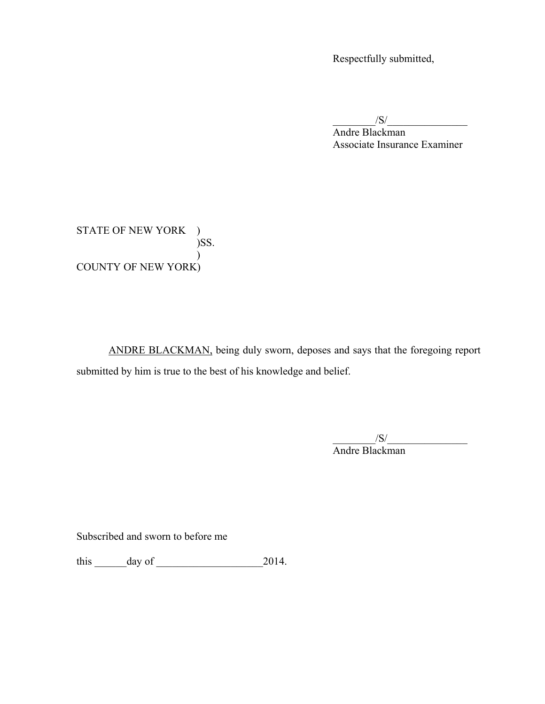Respectfully submitted,

 $\frac{|S|}{|S|}$ Andre Blackman Associate Insurance Examiner

STATE OF NEW YORK ) )SS.  $\lambda$ COUNTY OF NEW YORK)

ANDRE BLACKMAN, being duly sworn, deposes and says that the foregoing report submitted by him is true to the best of his knowledge and belief.

> $/S/$ Andre Blackman

Subscribed and sworn to before me

this day of 2014.